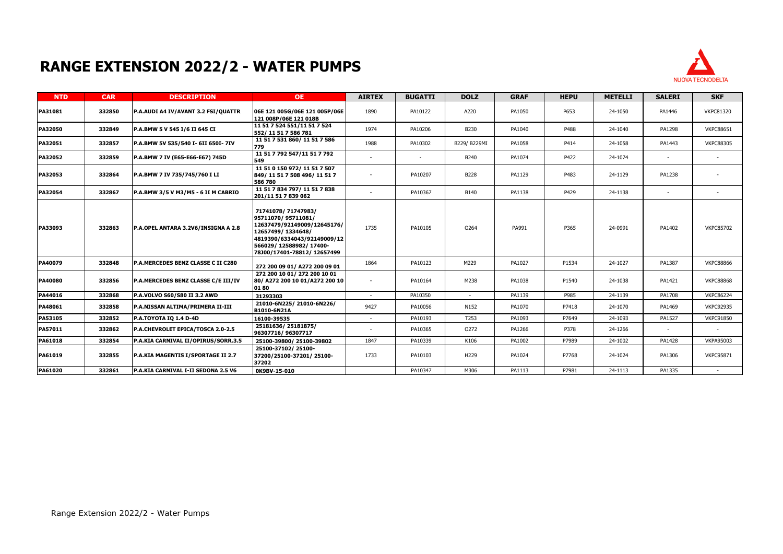## **RANGE EXTENSION 2022/2 - WATER PUMPS**



| <b>NTD</b>     | <b>CAR</b> | <b>DESCRIPTION</b>                  | <b>OE</b>                                                                                                                                                                            | <b>AIRTEX</b>            | <b>BUGATTI</b> | <b>DOLZ</b>      | <b>GRAF</b> | <b>HEPU</b> | <b>METELLI</b> | <b>SALERI</b> | <b>SKF</b>       |
|----------------|------------|-------------------------------------|--------------------------------------------------------------------------------------------------------------------------------------------------------------------------------------|--------------------------|----------------|------------------|-------------|-------------|----------------|---------------|------------------|
| PA31081        | 332850     | P.A.AUDI A4 IV/AVANT 3.2 FSI/QUATTR | 06E 121 005G/06E 121 005P/06E<br>121 008P/06E 121 018B                                                                                                                               | 1890                     | PA10122        | A220             | PA1050      | P653        | 24-1050        | PA1446        | <b>VKPC81320</b> |
| <b>PA32050</b> | 332849     | P.A.BMW 5 V 545 I/6 II 645 CI       | 11 51 7 524 551/11 51 7 524<br>552/11 51 7 586 781                                                                                                                                   | 1974                     | PA10206        | B230             | PA1040      | P488        | 24-1040        | PA1298        | <b>VKPC88651</b> |
| PA32051        | 332857     | P.A.BMW 5V 535/540 I- 6II 650I-7IV  | 11 51 7 531 860/ 11 51 7 586<br>779                                                                                                                                                  | 1988                     | PA10302        | B229/ B229MI     | PA1058      | P414        | 24-1058        | PA1443        | <b>VKPC88305</b> |
| PA32052        | 332859     | P.A.BMW 7 IV (E65-E66-E67) 745D     | 11 51 7 792 547/11 51 7 792<br>549                                                                                                                                                   | $\overline{\phantom{a}}$ |                | B240             | PA1074      | P422        | 24-1074        |               |                  |
| PA32053        | 332864     | P.A.BMW 7 IV 735/745/760 I LI       | 11 51 0 150 972/ 11 51 7 507<br>849/11517508496/11517<br>586 780                                                                                                                     | $\overline{\phantom{a}}$ | PA10207        | <b>B228</b>      | PA1129      | P483        | 24-1129        | PA1238        |                  |
| PA32054        | 332867     | P.A.BMW 3/5 V M3/M5 - 6 II M CABRIO | 11 51 7 834 797/ 11 51 7 838<br>201/11 51 7 839 062                                                                                                                                  | $\overline{\phantom{a}}$ | PA10367        | <b>B140</b>      | PA1138      | P429        | 24-1138        |               |                  |
| PA33093        | 332863     | P.A.OPEL ANTARA 3.2V6/INSIGNA A 2.8 | 71741078/ 71747983/<br>95711070/95711081/<br>12637479/92149009/12645176/<br>12657499/1334648/<br>4819390/6334043/92149009/12<br>566029/12588982/17400-<br>78J00/17401-78812/12657499 | 1735                     | PA10105        | 0264             | PA991       | P365        | 24-0991        | PA1402        | <b>VKPC85702</b> |
| PA40079        | 332848     | P.A.MERCEDES BENZ CLASSE C II C280  | 272 200 09 01/ A272 200 09 01                                                                                                                                                        | 1864                     | PA10123        | M229             | PA1027      | P1534       | 24-1027        | PA1387        | <b>VKPC88866</b> |
| PA40080        | 332856     | P.A.MERCEDES BENZ CLASSE C/E III/IV | 272 200 10 01/ 272 200 10 01<br>80/ A272 200 10 01/A272 200 10<br>0180                                                                                                               | $\sim$                   | PA10164        | M238             | PA1038      | P1540       | 24-1038        | PA1421        | <b>VKPC88868</b> |
| PA44016        | 332868     | P.A.VOLVO S60/S80 II 3.2 AWD        | 31293303                                                                                                                                                                             |                          | PA10350        |                  | PA1139      | P985        | 24-1139        | PA1708        | <b>VKPC86224</b> |
| PA48061        | 332858     | P.A.NISSAN ALTIMA/PRIMERA II-III    | 21010-6N225/21010-6N226/<br>B1010-6N21A                                                                                                                                              | 9427                     | PA10056        | N152             | PA1070      | P7418       | 24-1070        | PA1469        | <b>VKPC92935</b> |
| PA53105        | 332852     | <b>P.A.TOYOTA IQ 1.4 D-4D</b>       | 16100-39535                                                                                                                                                                          | $\overline{\phantom{a}}$ | PA10193        | T <sub>253</sub> | PA1093      | P7649       | 24-1093        | PA1527        | <b>VKPC91850</b> |
| PA57011        | 332862     | P.A.CHEVROLET EPICA/TOSCA 2.0-2.5   | 25181636/25181875/<br>96307716/96307717                                                                                                                                              | $\overline{\phantom{a}}$ | PA10365        | 0272             | PA1266      | P378        | 24-1266        |               |                  |
| PA61018        | 332854     | P.A.KIA CARNIVAL II/OPIRUS/SORR.3.5 | 25100-39800/25100-39802                                                                                                                                                              | 1847                     | PA10339        | K106             | PA1002      | P7989       | 24-1002        | PA1428        | <b>VKPA95003</b> |
| PA61019        | 332855     | P.A.KIA MAGENTIS I/SPORTAGE II 2.7  | 25100-37102/25100-<br>37200/25100-37201/25100-<br>37202                                                                                                                              | 1733                     | PA10103        | H <sub>229</sub> | PA1024      | P7768       | 24-1024        | PA1306        | <b>VKPC95871</b> |
| PA61020        | 332861     | P.A.KIA CARNIVAL I-II SEDONA 2.5 V6 | OK9BV-15-010                                                                                                                                                                         |                          | PA10347        | M306             | PA1113      | P7981       | 24-1113        | PA1335        |                  |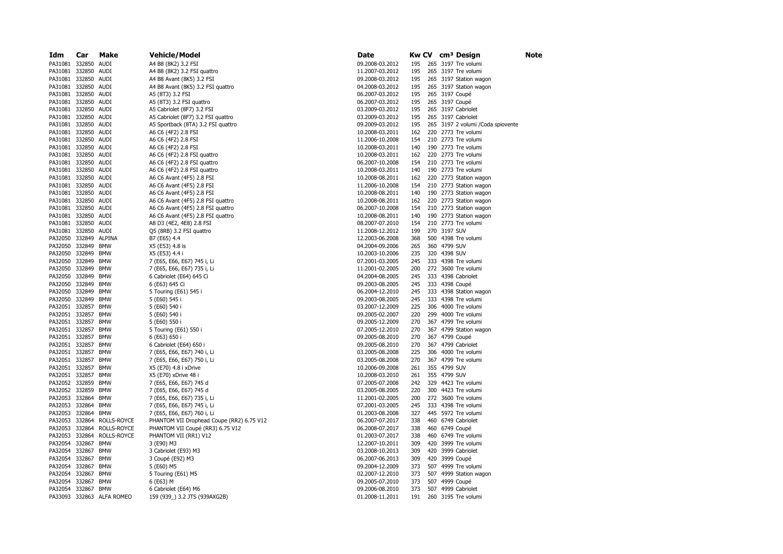| Idm                   | Car    | Make                       | <b>Vehicle/Model</b>                      | Date            | Kw CV |     |              | cm <sup>3</sup> Design             | Note |
|-----------------------|--------|----------------------------|-------------------------------------------|-----------------|-------|-----|--------------|------------------------------------|------|
| PA31081 332850 AUDI   |        |                            | A4 B8 (8K2) 3.2 FSI                       | 09.2008-03.2012 | 195   |     |              | 265 3197 Tre volumi                |      |
| PA31081 332850 AUDI   |        |                            | A4 B8 (8K2) 3.2 FSI quattro               | 11.2007-03.2012 | 195   |     |              | 265 3197 Tre volumi                |      |
| PA31081 332850 AUDI   |        |                            | A4 B8 Avant (8K5) 3.2 FSI                 | 09.2008-03.2012 | 195   |     |              | 265 3197 Station wagon             |      |
| PA31081 332850 AUDI   |        |                            | A4 B8 Avant (8K5) 3.2 FSI quattro         | 04.2008-03.2012 | 195   |     |              | 265 3197 Station wagon             |      |
| PA31081 332850 AUDI   |        |                            | A5 (8T3) 3.2 FSI                          | 06.2007-03.2012 | 195   |     |              | 265 3197 Coupé                     |      |
| PA31081 332850 AUDI   |        |                            | A5 (8T3) 3.2 FSI quattro                  | 06.2007-03.2012 | 195   |     |              | 265 3197 Coupé                     |      |
| PA31081 332850 AUDI   |        |                            | A5 Cabriolet (8F7) 3.2 FSI                | 03.2009-03.2012 | 195   |     |              | 265 3197 Cabriolet                 |      |
| PA31081 332850 AUDI   |        |                            | A5 Cabriolet (8F7) 3.2 FSI quattro        | 03.2009-03.2012 | 195   |     |              | 265 3197 Cabriolet                 |      |
| PA31081 332850 AUDI   |        |                            | A5 Sportback (8TA) 3.2 FSI quattro        | 09.2009-03.2012 | 195   |     |              | 265 3197 2 volumi / Coda spiovente |      |
| PA31081 332850 AUDI   |        |                            | A6 C6 (4F2) 2.8 FSI                       | 10.2008-03.2011 | 162   |     |              | 220 2773 Tre volumi                |      |
| PA31081 332850 AUDI   |        |                            | A6 C6 (4F2) 2.8 FSI                       | 11.2006-10.2008 | 154   |     |              | 210 2773 Tre volumi                |      |
| PA31081 332850 AUDI   |        |                            | A6 C6 (4F2) 2.8 FSI                       | 10.2008-03.2011 | 140   |     |              | 190 2773 Tre volumi                |      |
| PA31081 332850 AUDI   |        |                            | A6 C6 (4F2) 2.8 FSI quattro               | 10.2008-03.2011 | 162   |     |              | 220 2773 Tre volumi                |      |
| PA31081 332850 AUDI   |        |                            | A6 C6 (4F2) 2.8 FSI quattro               | 06.2007-10.2008 | 154   |     |              | 210 2773 Tre volumi                |      |
| PA31081 332850 AUDI   |        |                            | A6 C6 (4F2) 2.8 FSI quattro               | 10.2008-03.2011 | 140   |     |              | 190 2773 Tre volumi                |      |
| PA31081 332850 AUDI   |        |                            | A6 C6 Avant (4F5) 2.8 FSI                 | 10.2008-08.2011 | 162   |     |              | 220 2773 Station wagon             |      |
| PA31081 332850 AUDI   |        |                            | A6 C6 Avant (4F5) 2.8 FSI                 | 11.2006-10.2008 | 154   |     |              | 210 2773 Station wagon             |      |
| PA31081 332850 AUDI   |        |                            | A6 C6 Avant (4F5) 2.8 FSI                 | 10.2008-08.2011 | 140   |     |              | 190 2773 Station wagon             |      |
| PA31081 332850 AUDI   |        |                            | A6 C6 Avant (4F5) 2.8 FSI quattro         | 10.2008-08.2011 | 162   |     |              | 220 2773 Station wagon             |      |
| PA31081 332850 AUDI   |        |                            | A6 C6 Avant (4F5) 2.8 FSI quattro         | 06.2007-10.2008 | 154   |     |              | 210 2773 Station wagon             |      |
| PA31081 332850 AUDI   |        |                            | A6 C6 Avant (4F5) 2.8 FSI quattro         | 10.2008-08.2011 | 140   |     |              | 190 2773 Station wagon             |      |
| PA31081 332850        |        | AUDI                       | A8 D3 (4E2, 4E8) 2.8 FSI                  | 08.2007-07.2010 | 154   |     |              | 210 2773 Tre volumi                |      |
| PA31081 332850 AUDI   |        |                            | Q5 (8RB) 3.2 FSI quattro                  | 11.2008-12.2012 | 199   |     | 270 3197 SUV |                                    |      |
| PA32050 332849 ALPINA |        |                            | B7 (E65) 4.4                              | 12.2003-06.2008 | 368   |     |              | 500 4398 Tre volumi                |      |
| PA32050 332849        |        | <b>BMW</b>                 | X5 (E53) 4.8 is                           | 04.2004-09.2006 | 265   |     | 360 4799 SUV |                                    |      |
| PA32050               | 332849 | <b>BMW</b>                 | X5 (E53) 4.4 i                            | 10.2003-10.2006 | 235   |     | 320 4398 SUV |                                    |      |
| PA32050 332849        |        | <b>BMW</b>                 | 7 (E65, E66, E67) 745 i, Li               | 07.2001-03.2005 | 245   |     |              | 333 4398 Tre volumi                |      |
| PA32050 332849        |        | <b>BMW</b>                 | 7 (E65, E66, E67) 735 i, Li               | 11.2001-02.2005 | 200   |     |              | 272 3600 Tre volumi                |      |
| PA32050 332849        |        | <b>BMW</b>                 | 6 Cabriolet (E64) 645 Ci                  | 04.2004-08.2005 | 245   |     |              | 333 4398 Cabriolet                 |      |
| PA32050               | 332849 | <b>BMW</b>                 | 6 (E63) 645 Ci                            | 09.2003-08.2005 | 245   |     |              | 333 4398 Coupé                     |      |
| PA32050               | 332849 | <b>BMW</b>                 | 5 Touring (E61) 545 i                     | 06.2004-12.2010 | 245   |     |              | 333 4398 Station wagon             |      |
| PA32050 332849        |        | <b>BMW</b>                 | 5 (E60) 545 i                             | 09.2003-08.2005 | 245   |     |              | 333 4398 Tre volumi                |      |
| PA32051 332857        |        | <b>BMW</b>                 | 5 (E60) 540 i                             | 03.2007-12.2009 | 225   |     |              | 306 4000 Tre volumi                |      |
| PA32051 332857        |        | <b>BMW</b>                 | 5 (E60) 540 i                             | 09.2005-02.2007 | 220   | 299 |              | 4000 Tre volumi                    |      |
| PA32051 332857        |        | <b>BMW</b>                 | 5 (E60) 550 i                             | 09.2005-12.2009 | 270   |     |              | 367 4799 Tre volumi                |      |
| PA32051 332857 BMW    |        |                            | 5 Touring (E61) 550 i                     | 07.2005-12.2010 | 270   |     |              | 367 4799 Station wagon             |      |
| PA32051 332857        |        | <b>BMW</b>                 | 6 (E63) 650 i                             | 09.2005-08.2010 | 270   |     |              | 367 4799 Coupé                     |      |
| PA32051 332857        |        | <b>BMW</b>                 | 6 Cabriolet (E64) 650 i                   | 09.2005-08.2010 | 270   |     |              | 367 4799 Cabriolet                 |      |
| PA32051 332857        |        | <b>BMW</b>                 | 7 (E65, E66, E67) 740 i, Li               | 03.2005-08.2008 | 225   |     |              | 306 4000 Tre volumi                |      |
| PA32051 332857 BMW    |        |                            | 7 (E65, E66, E67) 750 i, Li               | 03.2005-08.2008 | 270   |     |              | 367 4799 Tre volumi                |      |
| PA32051 332857        |        | <b>BMW</b>                 | X5 (E70) 4.8 i xDrive                     | 10.2006-09.2008 | 261   |     | 355 4799 SUV |                                    |      |
| PA32051 332857        |        | <b>BMW</b>                 | X5 (E70) xDrive 48 i                      | 10.2008-03.2010 | 261   |     | 355 4799 SUV |                                    |      |
| PA32052 332859        |        | <b>BMW</b>                 | 7 (E65, E66, E67) 745 d                   | 07.2005-07.2008 | 242   |     |              | 329 4423 Tre volumi                |      |
| PA32052 332859        |        | <b>BMW</b>                 | 7 (E65, E66, E67) 745 d                   | 03.2005-08.2005 | 220   |     |              | 300 4423 Tre volumi                |      |
| PA32053 332864        |        | <b>BMW</b>                 | 7 (E65, E66, E67) 735 i, Li               | 11.2001-02.2005 | 200   |     |              | 272 3600 Tre volumi                |      |
| PA32053 332864        |        | <b>BMW</b>                 | 7 (E65, E66, E67) 745 i, Li               | 07.2001-03.2005 | 245   |     |              | 333 4398 Tre volumi                |      |
| PA32053 332864 BMW    |        |                            | 7 (E65, E66, E67) 760 i, Li               | 01.2003-08.2008 | 327   |     |              | 445 5972 Tre volumi                |      |
|                       |        | PA32053 332864 ROLLS-ROYCE | PHANTOM VII Drophead Coupe (RR2) 6.75 V12 | 06.2007-07.2017 | 338   |     |              | 460 6749 Cabriolet                 |      |
|                       |        | PA32053 332864 ROLLS-ROYCE | PHANTOM VII Coupé (RR3) 6.75 V12          | 06.2008-07.2017 | 338   |     |              | 460 6749 Coupé                     |      |
| PA32053 332864        |        | ROLLS-ROYCE                | PHANTOM VII (RR1) V12                     | 01.2003-07.2017 | 338   |     |              | 460 6749 Tre volumi                |      |
| PA32054 332867        |        | <b>BMW</b>                 | 3 (E90) M3                                | 12.2007-10.2011 | 309   |     |              | 420 3999 Tre volumi                |      |
| PA32054 332867 BMW    |        |                            | 3 Cabriolet (E93) M3                      | 03.2008-10.2013 | 309   |     |              | 420 3999 Cabriolet                 |      |
| PA32054 332867        |        | <b>BMW</b>                 | 3 Coupé (E92) M3                          | 06.2007-06.2013 | 309   |     |              | 420 3999 Coupé                     |      |
| PA32054 332867        |        | <b>BMW</b>                 | 5 (E60) M5                                | 09.2004-12.2009 | 373   |     |              | 507 4999 Tre volumi                |      |
| PA32054 332867        |        | <b>BMW</b>                 | 5 Touring (E61) M5                        | 02.2007-12.2010 | 373   |     |              | 507 4999 Station wagon             |      |
| PA32054 332867 BMW    |        |                            | 6 (E63) M                                 | 09.2005-07.2010 | 373   |     |              | 507 4999 Coupé                     |      |
| PA32054 332867 BMW    |        |                            | 6 Cabriolet (E64) M6                      | 09.2006-08.2010 | 373   |     |              | 507 4999 Cabriolet                 |      |
|                       |        | PA33093 332863 ALFA ROMEO  | 159 (939_) 3.2 JTS (939AXG2B)             | 01.2008-11.2011 | 191   |     |              | 260 3195 Tre volumi                |      |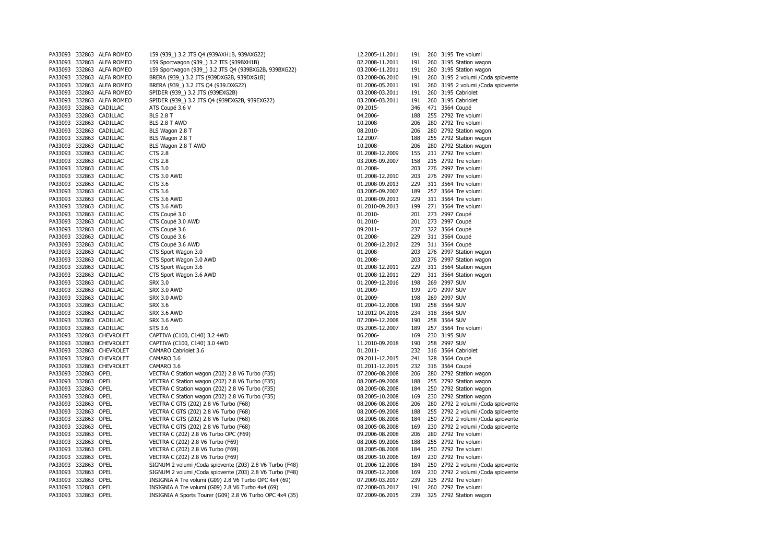| PA33093             | 332863 ALFA ROMEO         | 159 (939_) 3.2 JTS Q4 (939AXH1B, 939AXG22)                | 12.2005-11.2011 | 191 |     | 260 3195 Tre volumi                          |
|---------------------|---------------------------|-----------------------------------------------------------|-----------------|-----|-----|----------------------------------------------|
|                     | PA33093 332863 ALFA ROMEO | 159 Sportwagon (939_) 3.2 JTS (939BXH1B)                  | 02.2008-11.2011 | 191 | 260 | 3195 Station wagon                           |
|                     | PA33093 332863 ALFA ROMEO | 159 Sportwagon (939_) 3.2 JTS Q4 (939BXG2B, 939BXG22)     | 03.2006-11.2011 | 191 |     | 260 3195 Station wagon                       |
|                     | PA33093 332863 ALFA ROMEO | BRERA (939_) 3.2 JTS (939DXG2B, 939DXG1B)                 | 03.2008-06.2010 | 191 |     | 260 3195 2 volumi / Coda spiovente           |
|                     | PA33093 332863 ALFA ROMEO | BRERA (939_) 3.2 JTS Q4 (939.DXG22)                       | 01.2006-05.2011 | 191 |     | 260 3195 2 volumi / Coda spiovente           |
|                     | PA33093 332863 ALFA ROMEO | SPIDER (939_) 3.2 JTS (939EXG2B)                          | 03.2008-03.2011 | 191 | 260 | 3195 Cabriolet                               |
|                     | PA33093 332863 ALFA ROMEO | SPIDER (939) 3.2 JTS 04 (939EXG2B, 939EXG22)              | 03.2006-03.2011 | 191 |     | 260 3195 Cabriolet                           |
|                     | PA33093 332863 CADILLAC   | ATS Coupé 3.6 V                                           | 09.2015-        | 346 |     | 471 3564 Coupé                               |
|                     | PA33093 332863 CADILLAC   | <b>BLS 2.8 T</b>                                          | 04.2006-        | 188 |     | 255 2792 Tre volumi                          |
|                     | PA33093 332863 CADILLAC   | BLS 2.8 T AWD                                             | 10.2008-        | 206 |     | 280 2792 Tre volumi                          |
|                     | PA33093 332863 CADILLAC   | BLS Wagon 2.8 T                                           | 08.2010-        | 206 |     | 280 2792 Station wagon                       |
|                     | PA33093 332863 CADILLAC   | BLS Wagon 2.8 T                                           | 12.2007-        | 188 |     | 255 2792 Station wagon                       |
|                     | PA33093 332863 CADILLAC   | BLS Wagon 2.8 T AWD                                       | 10.2008-        | 206 |     | 280 2792 Station wagon                       |
|                     | PA33093 332863 CADILLAC   | <b>CTS 2.8</b>                                            | 01.2008-12.2009 | 155 |     | 211 2792 Tre volumi                          |
|                     | PA33093 332863 CADILLAC   | <b>CTS 2.8</b>                                            | 03.2005-09.2007 | 158 |     | 215 2792 Tre volumi                          |
|                     | PA33093 332863 CADILLAC   | CTS 3.0                                                   | 01.2008-        | 203 |     | 276 2997 Tre volumi                          |
|                     | PA33093 332863 CADILLAC   | CTS 3.0 AWD                                               | 01.2008-12.2010 | 203 |     | 276 2997 Tre volumi                          |
|                     | PA33093 332863 CADILLAC   | CTS 3.6                                                   | 01.2008-09.2013 | 229 |     | 311 3564 Tre volumi                          |
|                     | PA33093 332863 CADILLAC   | CTS 3.6                                                   | 03.2005-09.2007 | 189 | 257 | 3564 Tre volumi                              |
|                     | PA33093 332863 CADILLAC   | CTS 3.6 AWD                                               | 01.2008-09.2013 | 229 |     | 311 3564 Tre volumi                          |
|                     | PA33093 332863 CADILLAC   | CTS 3.6 AWD                                               | 01.2010-09.2013 | 199 | 271 | 3564 Tre volumi                              |
|                     | PA33093 332863 CADILLAC   | CTS Coupé 3.0                                             | 01.2010-        | 201 |     | 273 2997 Coupé                               |
|                     | PA33093 332863 CADILLAC   | CTS Coupé 3.0 AWD                                         | 01.2010-        | 201 |     | 273 2997 Coupé                               |
|                     | PA33093 332863 CADILLAC   | CTS Coupé 3.6                                             | 09.2011-        | 237 |     | 322 3564 Coupé                               |
|                     | PA33093 332863 CADILLAC   | CTS Coupé 3.6                                             | 01.2008-        | 229 |     | 311 3564 Coupé                               |
|                     | PA33093 332863 CADILLAC   | CTS Coupé 3.6 AWD                                         | 01.2008-12.2012 | 229 |     | 311 3564 Coupé                               |
|                     | PA33093 332863 CADILLAC   |                                                           | 01.2008-        | 203 |     |                                              |
|                     | PA33093 332863 CADILLAC   | CTS Sport Wagon 3.0<br>CTS Sport Wagon 3.0 AWD            | 01.2008-        | 203 | 276 | 276 2997 Station wagon<br>2997 Station wagon |
|                     | PA33093 332863 CADILLAC   | CTS Sport Wagon 3.6                                       | 01.2008-12.2011 | 229 |     | 311 3564 Station wagon                       |
|                     | PA33093 332863 CADILLAC   | CTS Sport Wagon 3.6 AWD                                   | 01.2008-12.2011 | 229 | 311 | 3564 Station wagon                           |
|                     | PA33093 332863 CADILLAC   | <b>SRX 3.0</b>                                            | 01.2009-12.2016 | 198 |     | 269 2997 SUV                                 |
|                     | PA33093 332863 CADILLAC   | SRX 3.0 AWD                                               | 01.2009-        | 199 | 270 | 2997 SUV                                     |
|                     | PA33093 332863 CADILLAC   | SRX 3.0 AWD                                               | 01.2009-        | 198 |     | 269 2997 SUV                                 |
|                     | PA33093 332863 CADILLAC   | <b>SRX 3.6</b>                                            | 01.2004-12.2008 | 190 |     | 258 3564 SUV                                 |
|                     | PA33093 332863 CADILLAC   | SRX 3.6 AWD                                               | 10.2012-04.2016 | 234 |     | 318 3564 SUV                                 |
|                     | PA33093 332863 CADILLAC   | SRX 3.6 AWD                                               | 07.2004-12.2008 | 190 |     | 258 3564 SUV                                 |
|                     | PA33093 332863 CADILLAC   | STS 3.6                                                   | 05.2005-12.2007 | 189 |     | 257 3564 Tre volumi                          |
|                     | PA33093 332863 CHEVROLET  | CAPTIVA (C100, C140) 3.2 4WD                              | 06.2006-        | 169 |     | 230 3195 SUV                                 |
|                     | PA33093 332863 CHEVROLET  | CAPTIVA (C100, C140) 3.0 4WD                              | 11.2010-09.2018 | 190 |     | 258 2997 SUV                                 |
|                     | PA33093 332863 CHEVROLET  | CAMARO Cabriolet 3.6                                      | 01.2011-        | 232 |     | 316 3564 Cabriolet                           |
|                     | PA33093 332863 CHEVROLET  | CAMARO 3.6                                                | 09.2011-12.2015 | 241 | 328 | 3564 Coupé                                   |
|                     | PA33093 332863 CHEVROLET  | CAMARO 3.6                                                | 01.2011-12.2015 | 232 |     | 316 3564 Coupé                               |
| PA33093 332863 OPEL |                           | VECTRA C Station wagon (Z02) 2.8 V6 Turbo (F35)           | 07.2006-08.2008 | 206 | 280 | 2792 Station wagon                           |
| PA33093 332863 OPEL |                           | VECTRA C Station wagon (Z02) 2.8 V6 Turbo (F35)           | 08.2005-09.2008 | 188 |     | 255 2792 Station wagon                       |
| PA33093 332863 OPEL |                           | VECTRA C Station wagon (Z02) 2.8 V6 Turbo (F35)           | 08.2005-08.2008 | 184 |     | 250 2792 Station wagon                       |
| PA33093 332863 OPEL |                           | VECTRA C Station wagon (Z02) 2.8 V6 Turbo (F35)           | 08.2005-10.2008 | 169 |     | 230 2792 Station wagon                       |
| PA33093 332863      | OPEL                      | VECTRA C GTS (Z02) 2.8 V6 Turbo (F68)                     | 08.2006-08.2008 | 206 |     | 280 2792 2 volumi / Coda spiovente           |
| PA33093 332863 OPEL |                           | VECTRA C GTS (Z02) 2.8 V6 Turbo (F68)                     | 08.2005-09.2008 | 188 |     | 255 2792 2 volumi / Coda spiovente           |
| PA33093 332863 OPEL |                           | VECTRA C GTS (Z02) 2.8 V6 Turbo (F68)                     | 08.2005-08.2008 | 184 |     | 250 2792 2 volumi / Coda spiovente           |
| PA33093 332863 OPEL |                           | VECTRA C GTS (Z02) 2.8 V6 Turbo (F68)                     | 08.2005-08.2008 | 169 |     | 230 2792 2 volumi / Coda spiovente           |
| PA33093 332863      | OPEL                      | VECTRA C (Z02) 2.8 V6 Turbo OPC (F69)                     | 09.2006-08.2008 | 206 |     | 280 2792 Tre volumi                          |
| PA33093 332863 OPEL |                           | VECTRA C (Z02) 2.8 V6 Turbo (F69)                         | 08.2005-09.2006 | 188 |     | 255 2792 Tre volumi                          |
| PA33093 332863 OPEL |                           | VECTRA C (Z02) 2.8 V6 Turbo (F69)                         | 08.2005-08.2008 | 184 |     | 250 2792 Tre volumi                          |
| PA33093 332863      | OPEL                      | VECTRA C (Z02) 2.8 V6 Turbo (F69)                         | 08.2005-10.2006 | 169 |     | 230 2792 Tre volumi                          |
| PA33093 332863      | OPEL                      | SIGNUM 2 volumi / Coda spiovente (Z03) 2.8 V6 Turbo (F48) | 01.2006-12.2008 | 184 |     | 250 2792 2 volumi / Coda spiovente           |
| PA33093 332863      | OPEL                      | SIGNUM 2 volumi / Coda spiovente (Z03) 2.8 V6 Turbo (F48) | 09.2005-12.2008 | 169 |     | 230 2792 2 volumi / Coda spiovente           |
| PA33093 332863 OPEL |                           | INSIGNIA A Tre volumi (G09) 2.8 V6 Turbo OPC 4x4 (69)     | 07.2009-03.2017 | 239 |     | 325 2792 Tre volumi                          |
| PA33093 332863      | OPEL                      | INSIGNIA A Tre volumi (G09) 2.8 V6 Turbo 4x4 (69)         | 07.2008-03.2017 | 191 |     | 260 2792 Tre volumi                          |
| PA33093 332863 OPEL |                           | INSIGNIA A Sports Tourer (G09) 2.8 V6 Turbo OPC 4x4 (35)  | 07.2009-06.2015 | 239 |     | 325 2792 Station wagon                       |
|                     |                           |                                                           |                 |     |     |                                              |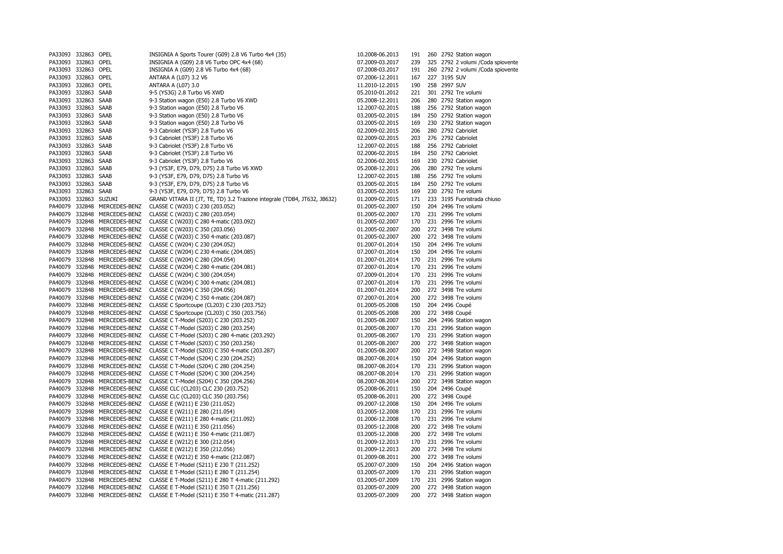| PA33093 332863 OPEL              |        |                                | INSIGNIA A Sports Tourer (G09) 2.8 V6 Turbo 4x4 (35)                                       | 10.2008-06.2013                    | 191        |     | 260 2792 Station wagon                |
|----------------------------------|--------|--------------------------------|--------------------------------------------------------------------------------------------|------------------------------------|------------|-----|---------------------------------------|
| PA33093 332863 OPEL              |        |                                | INSIGNIA A (G09) 2.8 V6 Turbo OPC 4x4 (68)                                                 | 07.2009-03.2017                    | 239        |     | 325 2792 2 volumi / Coda spiovente    |
| PA33093 332863                   |        | OPEL                           | INSIGNIA A (G09) 2.8 V6 Turbo 4x4 (68)                                                     | 07.2008-03.2017                    | 191        | 260 | 2792 2 volumi /Coda spiovente         |
| PA33093 332863 OPEL              |        |                                | ANTARA A (L07) 3.2 V6                                                                      | 07.2006-12.2011                    | 167        |     | 227 3195 SUV                          |
| PA33093 332863 OPEL              |        |                                | ANTARA A (L07) 3.0                                                                         | 11.2010-12.2015                    | 190        |     | 258 2997 SUV                          |
| PA33093 332863 SAAB              |        |                                | 9-5 (YS3G) 2.8 Turbo V6 XWD                                                                | 05.2010-01.2012                    | 221        |     | 301 2792 Tre volumi                   |
| PA33093 332863                   |        | SAAB                           | 9-3 Station wagon (E50) 2.8 Turbo V6 XWD                                                   | 05.2008-12.2011                    | 206        |     | 280 2792 Station wagon                |
| PA33093 332863 SAAB              |        |                                | 9-3 Station wagon (E50) 2.8 Turbo V6                                                       | 12.2007-02.2015                    | 188        | 256 | 2792 Station wagon                    |
| PA33093 332863 SAAB              |        |                                | 9-3 Station wagon (E50) 2.8 Turbo V6                                                       | 03.2005-02.2015                    | 184        |     | 250 2792 Station wagon                |
| PA33093 332863                   |        | SAAB                           | 9-3 Station wagon (E50) 2.8 Turbo V6                                                       | 03.2005-02.2015                    | 169        | 230 | 2792 Station wagon                    |
| PA33093 332863                   |        | SAAB                           | 9-3 Cabriolet (YS3F) 2.8 Turbo V6                                                          | 02.2009-02.2015                    | 206        | 280 | 2792 Cabriolet                        |
| PA33093 332863 SAAB              |        |                                | 9-3 Cabriolet (YS3F) 2.8 Turbo V6                                                          | 02.2009-02.2015                    | 203        |     | 276 2792 Cabriolet                    |
| PA33093 332863 SAAB              |        |                                | 9-3 Cabriolet (YS3F) 2.8 Turbo V6                                                          | 12.2007-02.2015                    | 188        |     | 256 2792 Cabriolet                    |
| PA33093 332863 SAAB              |        |                                | 9-3 Cabriolet (YS3F) 2.8 Turbo V6                                                          | 02.2006-02.2015                    | 184        |     | 250 2792 Cabriolet                    |
| PA33093 332863 SAAB              |        |                                | 9-3 Cabriolet (YS3F) 2.8 Turbo V6                                                          | 02.2006-02.2015                    | 169        |     | 230 2792 Cabriolet                    |
| PA33093 332863 SAAB              |        |                                | 9-3 (YS3F, E79, D79, D75) 2.8 Turbo V6 XWD                                                 | 05.2008-12.2011                    | 206        |     | 280 2792 Tre volumi                   |
| PA33093 332863 SAAB              |        |                                | 9-3 (YS3F, E79, D79, D75) 2.8 Turbo V6                                                     | 12.2007-02.2015                    | 188        |     | 256 2792 Tre volumi                   |
| PA33093 332863 SAAB              |        |                                | 9-3 (YS3F, E79, D79, D75) 2.8 Turbo V6                                                     | 03.2005-02.2015                    | 184        |     | 250 2792 Tre volumi                   |
| PA33093 332863 SAAB              |        |                                | 9-3 (YS3F, E79, D79, D75) 2.8 Turbo V6                                                     | 03.2005-02.2015                    | 169        |     | 230 2792 Tre volumi                   |
| PA33093 332863 SUZUKI            |        |                                | GRAND VITARA II (JT, TE, TD) 3.2 Trazione integrale (TDB4, JT632, JB632)                   | 01.2009-02.2015                    | 171        |     | 233 3195 Fuoristrada chiuso           |
| PA40079 332848                   |        | MERCEDES-BENZ                  | CLASSE C (W203) C 230 (203.052)                                                            | 01.2005-02.2007                    | 150        | 204 | 2496 Tre volumi                       |
| PA40079 332848                   |        | MERCEDES-BENZ                  | CLASSE C (W203) C 280 (203.054)                                                            | 01.2005-02.2007                    | 170        |     | 231 2996 Tre volumi                   |
| PA40079 332848                   |        | MERCEDES-BENZ                  | CLASSE C (W203) C 280 4-matic (203.092)                                                    | 01.2005-02.2007                    | 170        |     | 231 2996 Tre volumi                   |
| PA40079 332848                   |        | MERCEDES-BENZ                  | CLASSE C (W203) C 350 (203.056)                                                            | 01.2005-02.2007                    | 200        |     | 272 3498 Tre volumi                   |
| PA40079 332848                   |        | MERCEDES-BENZ                  | CLASSE C (W203) C 350 4-matic (203.087)                                                    | 01.2005-02.2007                    | 200        | 272 | 3498 Tre volumi                       |
| PA40079 332848                   |        | MERCEDES-BENZ                  | CLASSE C (W204) C 230 (204.052)                                                            | 01.2007-01.2014                    | 150        |     | 204 2496 Tre volumi                   |
| PA40079 332848                   |        | MERCEDES-BENZ                  | CLASSE C (W204) C 230 4-matic (204.085)                                                    | 07.2007-01.2014                    | 150        |     | 204 2496 Tre volumi                   |
| PA40079 332848                   |        | MERCEDES-BENZ                  | CLASSE C (W204) C 280 (204.054)                                                            | 01.2007-01.2014                    | 170        | 231 | 2996 Tre volumi                       |
| PA40079 332848                   |        | MERCEDES-BENZ                  | CLASSE C (W204) C 280 4-matic (204.081)                                                    | 07.2007-01.2014                    | 170        | 231 | 2996 Tre volumi                       |
| PA40079 332848                   |        | MERCEDES-BENZ                  | CLASSE C (W204) C 300 (204.054)                                                            | 07.2009-01.2014                    | 170        | 231 | 2996 Tre volumi                       |
| PA40079 332848                   |        | MERCEDES-BENZ                  | CLASSE C (W204) C 300 4-matic (204.081)                                                    | 07.2007-01.2014                    | 170        |     | 231 2996 Tre volumi                   |
| PA40079 332848                   |        | MERCEDES-BENZ                  | CLASSE C (W204) C 350 (204.056)                                                            | 01.2007-01.2014                    | 200        | 272 | 3498 Tre volumi                       |
| PA40079 332848<br>PA40079 332848 |        | MERCEDES-BENZ<br>MERCEDES-BENZ | CLASSE C (W204) C 350 4-matic (204.087)                                                    | 07.2007-01.2014                    | 200<br>150 |     | 272 3498 Tre volumi<br>204 2496 Coupé |
| PA40079 332848                   |        | MERCEDES-BENZ                  | CLASSE C Sportcoupe (CL203) C 230 (203.752)<br>CLASSE C Sportcoupe (CL203) C 350 (203.756) | 01.2005-05.2008<br>01.2005-05.2008 | 200        |     | 272 3498 Coupé                        |
| PA40079 332848                   |        | MERCEDES-BENZ                  | CLASSE C T-Model (S203) C 230 (203.252)                                                    | 01.2005-08.2007                    | 150        | 204 | 2496 Station wagon                    |
| PA40079 332848                   |        | MERCEDES-BENZ                  | CLASSE C T-Model (S203) C 280 (203.254)                                                    | 01.2005-08.2007                    | 170        |     | 231 2996 Station wagon                |
| PA40079 332848                   |        | MERCEDES-BENZ                  | CLASSE C T-Model (S203) C 280 4-matic (203.292)                                            | 01.2005-08.2007                    | 170        |     | 231 2996 Station wagon                |
| PA40079 332848                   |        | MERCEDES-BENZ                  | CLASSE C T-Model (S203) C 350 (203.256)                                                    | 01.2005-08.2007                    | 200        |     | 272 3498 Station wagon                |
| PA40079 332848                   |        | MERCEDES-BENZ                  | CLASSE C T-Model (S203) C 350 4-matic (203.287)                                            | 01.2005-08.2007                    | 200        | 272 | 3498 Station wagon                    |
| PA40079 332848                   |        | MERCEDES-BENZ                  | CLASSE C T-Model (S204) C 230 (204.252)                                                    | 08.2007-08.2014                    | 150        |     | 204 2496 Station wagon                |
| PA40079 332848                   |        | MERCEDES-BENZ                  | CLASSE C T-Model (S204) C 280 (204.254)                                                    | 08.2007-08.2014                    | 170        |     | 231 2996 Station wagon                |
| PA40079 332848                   |        | MERCEDES-BENZ                  | CLASSE C T-Model (S204) C 300 (204.254)                                                    | 08.2007-08.2014                    | 170        | 231 | 2996 Station wagon                    |
| PA40079 332848                   |        | MERCEDES-BENZ                  | CLASSE C T-Model (S204) C 350 (204.256)                                                    | 08.2007-08.2014                    | 200        | 272 | 3498 Station wagon                    |
| PA40079 332848                   |        | MERCEDES-BENZ                  | CLASSE CLC (CL203) CLC 230 (203.752)                                                       | 05.2008-06.2011                    | 150        |     | 204 2496 Coupé                        |
| PA40079 332848                   |        | MERCEDES-BENZ                  | CLASSE CLC (CL203) CLC 350 (203.756)                                                       | 05.2008-06.2011                    | 200        |     | 272 3498 Coupé                        |
| PA40079 332848                   |        | MERCEDES-BENZ                  | CLASSE E (W211) E 230 (211.052)                                                            | 09.2007-12.2008                    | 150        | 204 | 2496 Tre volumi                       |
| PA40079 332848                   |        | MERCEDES-BENZ                  | CLASSE E (W211) E 280 (211.054)                                                            | 03.2005-12.2008                    | 170        |     | 231 2996 Tre volumi                   |
| PA40079 332848                   |        | MERCEDES-BENZ                  | CLASSE E (W211) E 280 4-matic (211.092)                                                    | 01.2006-12.2008                    | 170        |     | 231 2996 Tre volumi                   |
| PA40079 332848                   |        | MERCEDES-BENZ                  | CLASSE E (W211) E 350 (211.056)                                                            | 03.2005-12.2008                    | 200        |     | 272 3498 Tre volumi                   |
| PA40079 332848                   |        | MERCEDES-BENZ                  | CLASSE E (W211) E 350 4-matic (211.087)                                                    | 03.2005-12.2008                    | 200        | 272 | 3498 Tre volumi                       |
| PA40079                          | 332848 | MERCEDES-BENZ                  | CLASSE E (W212) E 300 (212.054)                                                            | 01.2009-12.2013                    | 170        |     | 231 2996 Tre volumi                   |
| PA40079 332848                   |        | MERCEDES-BENZ                  | CLASSE E (W212) E 350 (212.056)                                                            | 01.2009-12.2013                    | 200        |     | 272 3498 Tre volumi                   |
| PA40079 332848                   |        | MERCEDES-BENZ                  | CLASSE E (W212) E 350 4-matic (212.087)                                                    | 01.2009-08.2011                    | 200        | 272 | 3498 Tre volumi                       |
| PA40079 332848                   |        | MERCEDES-BENZ                  | CLASSE E T-Model (S211) E 230 T (211.252)                                                  | 05.2007-07.2009                    | 150        | 204 | 2496 Station wagon                    |
| PA40079 332848                   |        | MERCEDES-BENZ                  | CLASSE E T-Model (S211) E 280 T (211.254)                                                  | 03.2005-07.2009                    | 170        |     | 231 2996 Station wagon                |
| PA40079 332848                   |        | MERCEDES-BENZ                  | CLASSE E T-Model (S211) E 280 T 4-matic (211.292)                                          | 03.2005-07.2009                    | 170        |     | 231 2996 Station wagon                |
| PA40079 332848                   |        | MERCEDES-BENZ                  | CLASSE E T-Model (S211) E 350 T (211.256)                                                  | 03.2005-07.2009                    | 200        |     | 272 3498 Station wagon                |
| PA40079 332848                   |        | MERCEDES-BENZ                  | CLASSE E T-Model (S211) E 350 T 4-matic (211.287)                                          | 03.2005-07.2009                    | 200        |     | 272 3498 Station wagon                |
|                                  |        |                                |                                                                                            |                                    |            |     |                                       |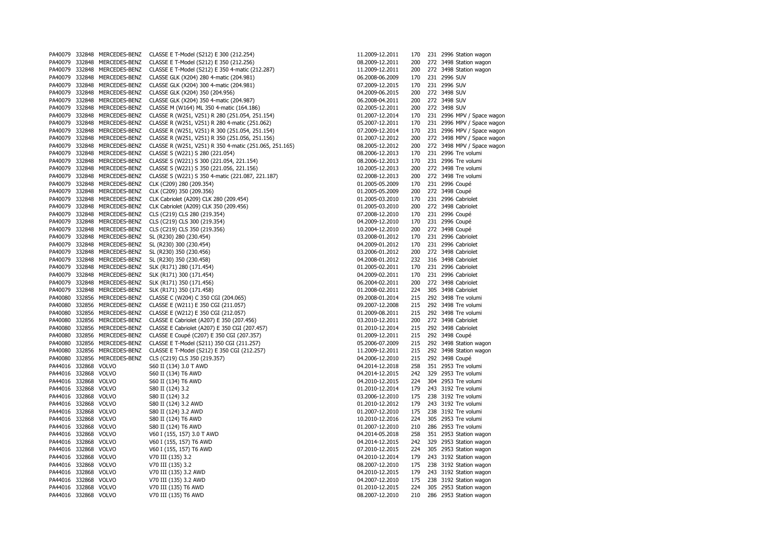| PA40079              | 332848       | MERCEDES-BENZ        | CLASSE E T-Model (S212) E 300 (212.254)                | 11.2009-12.2011 | 170        |     | 231 2996 Station wagon     |
|----------------------|--------------|----------------------|--------------------------------------------------------|-----------------|------------|-----|----------------------------|
| PA40079              | 332848       | MERCEDES-BENZ        | CLASSE E T-Model (S212) E 350 (212.256)                | 08.2009-12.2011 | 200        | 272 | 3498 Station wagon         |
| PA40079              | 332848       | MERCEDES-BENZ        | CLASSE E T-Model (S212) E 350 4-matic (212.287)        | 11.2009-12.2011 | 200        |     | 272 3498 Station wagon     |
| PA40079              | 332848       | MERCEDES-BENZ        | CLASSE GLK (X204) 280 4-matic (204.981)                | 06.2008-06.2009 | 170        |     | 231 2996 SUV               |
| PA40079              | 332848       | MERCEDES-BENZ        | CLASSE GLK (X204) 300 4-matic (204.981)                | 07.2009-12.2015 | 170        |     | 231 2996 SUV               |
| PA40079              | 332848       | MERCEDES-BENZ        | CLASSE GLK (X204) 350 (204.956)                        | 04.2009-06.2015 | 200        |     | 272 3498 SUV               |
| PA40079              | 332848       | MERCEDES-BENZ        | CLASSE GLK (X204) 350 4-matic (204.987)                | 06.2008-04.2011 | 200        |     | 272 3498 SUV               |
| PA40079              | 332848       | MERCEDES-BENZ        | CLASSE M (W164) ML 350 4-matic (164.186)               | 02.2005-12.2011 | 200        |     | 272 3498 SUV               |
| PA40079              | 332848       | MERCEDES-BENZ        | CLASSE R (W251, V251) R 280 (251.054, 251.154)         | 01.2007-12.2014 | 170        |     | 231 2996 MPV / Space wagon |
| PA40079              | 332848       | MERCEDES-BENZ        | CLASSE R (W251, V251) R 280 4-matic (251.062)          | 05.2007-12.2011 | 170        |     | 231 2996 MPV / Space wagon |
| PA40079              | 332848       | MERCEDES-BENZ        | CLASSE R (W251, V251) R 300 (251.054, 251.154)         | 07.2009-12.2014 | 170        |     | 231 2996 MPV / Space wagon |
| PA40079              | 332848       | MERCEDES-BENZ        | CLASSE R (W251, V251) R 350 (251.056, 251.156)         | 01.2007-12.2012 | 200        | 272 | 3498 MPV / Space wagon     |
| PA40079              | 332848       | MERCEDES-BENZ        |                                                        |                 | 200        |     | 272 3498 MPV / Space wagon |
|                      |              |                      | CLASSE R (W251, V251) R 350 4-matic (251.065, 251.165) | 08.2005-12.2012 |            |     |                            |
| PA40079              | 332848       | MERCEDES-BENZ        | CLASSE S (W221) S 280 (221.054)                        | 08.2006-12.2013 | 170        |     | 231 2996 Tre volumi        |
| PA40079              | 332848       | MERCEDES-BENZ        | CLASSE S (W221) S 300 (221.054, 221.154)               | 08.2006-12.2013 | 170        |     | 231 2996 Tre volumi        |
| PA40079              | 332848       | MERCEDES-BENZ        | CLASSE S (W221) S 350 (221.056, 221.156)               | 10.2005-12.2013 | 200        |     | 272 3498 Tre volumi        |
| PA40079              | 332848       | MERCEDES-BENZ        | CLASSE S (W221) S 350 4-matic (221.087, 221.187)       | 02.2008-12.2013 | 200        |     | 272 3498 Tre volumi        |
| PA40079              | 332848       | MERCEDES-BENZ        | CLK (C209) 280 (209.354)                               | 01.2005-05.2009 | 170        |     | 231 2996 Coupé             |
| PA40079              | 332848       | MERCEDES-BENZ        | CLK (C209) 350 (209.356)                               | 01.2005-05.2009 | 200        |     | 272 3498 Coupé             |
| PA40079              | 332848       | MERCEDES-BENZ        | CLK Cabriolet (A209) CLK 280 (209.454)                 | 01.2005-03.2010 | 170        |     | 231 2996 Cabriolet         |
| PA40079              | 332848       | MERCEDES-BENZ        | CLK Cabriolet (A209) CLK 350 (209.456)                 | 01.2005-03.2010 | 200        |     | 272 3498 Cabriolet         |
| PA40079              | 332848       | MERCEDES-BENZ        | CLS (C219) CLS 280 (219.354)                           | 07.2008-12.2010 | 170        |     | 231 2996 Coupé             |
| PA40079              | 332848       | MERCEDES-BENZ        | CLS (C219) CLS 300 (219.354)                           | 04.2009-12.2010 | 170        |     | 231 2996 Coupé             |
| PA40079              | 332848       | MERCEDES-BENZ        | CLS (C219) CLS 350 (219.356)                           | 10.2004-12.2010 | 200        |     | 272 3498 Coupé             |
| PA40079              | 332848       | MERCEDES-BENZ        | SL (R230) 280 (230.454)                                | 03.2008-01.2012 | 170        |     | 231 2996 Cabriolet         |
| PA40079              | 332848       | MERCEDES-BENZ        | SL (R230) 300 (230.454)                                | 04.2009-01.2012 | 170        |     | 231 2996 Cabriolet         |
| PA40079              | 332848       | MERCEDES-BENZ        | SL (R230) 350 (230.456)                                | 03.2006-01.2012 | 200        |     | 272 3498 Cabriolet         |
| PA40079              | 332848       | MERCEDES-BENZ        | SL (R230) 350 (230.458)                                | 04.2008-01.2012 | 232        | 316 | 3498 Cabriolet             |
| PA40079              | 332848       | MERCEDES-BENZ        | SLK (R171) 280 (171.454)                               | 01.2005-02.2011 | 170        |     | 231 2996 Cabriolet         |
| PA40079              |              | 332848 MERCEDES-BENZ | SLK (R171) 300 (171.454)                               | 04.2009-02.2011 | 170        |     | 231 2996 Cabriolet         |
| PA40079              | 332848       | MERCEDES-BENZ        | SLK (R171) 350 (171.456)                               | 06.2004-02.2011 | 200        |     | 272 3498 Cabriolet         |
| PA40079              | 332848       | MERCEDES-BENZ        | SLK (R171) 350 (171.458)                               | 01.2008-02.2011 | 224        | 305 | 3498 Cabriolet             |
| PA40080              |              | 332856 MERCEDES-BENZ | CLASSE C (W204) C 350 CGI (204.065)                    | 09.2008-01.2014 | 215        |     | 292 3498 Tre volumi        |
| PA40080              |              | 332856 MERCEDES-BENZ | CLASSE E (W211) E 350 CGI (211.057)                    | 09.2007-12.2008 | 215        |     | 292 3498 Tre volumi        |
| PA40080              |              | 332856 MERCEDES-BENZ | CLASSE E (W212) E 350 CGI (212.057)                    | 01.2009-08.2011 | 215        |     | 292 3498 Tre volumi        |
| PA40080              | 332856       | MERCEDES-BENZ        | CLASSE E Cabriolet (A207) E 350 (207.456)              | 03.2010-12.2011 | 200        |     | 272 3498 Cabriolet         |
| PA40080              |              | 332856 MERCEDES-BENZ | CLASSE E Cabriolet (A207) E 350 CGI (207.457)          | 01.2010-12.2014 | 215        |     | 292 3498 Cabriolet         |
| PA40080              |              | 332856 MERCEDES-BENZ | CLASSE E Coupé (C207) E 350 CGI (207.357)              | 01.2009-12.2011 | 215        |     | 292 3498 Coupé             |
| PA40080              |              | 332856 MERCEDES-BENZ | CLASSE E T-Model (S211) 350 CGI (211.257)              | 05.2006-07.2009 | 215        |     | 292 3498 Station wagon     |
| PA40080              | 332856       | MERCEDES-BENZ        | CLASSE E T-Model (S212) E 350 CGI (212.257)            | 11.2009-12.2011 | 215        |     | 292 3498 Station wagon     |
|                      |              |                      |                                                        |                 |            |     |                            |
| PA40080<br>PA44016   |              | 332856 MERCEDES-BENZ | CLS (C219) CLS 350 (219.357)                           | 04.2006-12.2010 | 215<br>258 |     | 292 3498 Coupé             |
|                      | 332868 VOLVO |                      | S60 II (134) 3.0 T AWD                                 | 04.2014-12.2018 | 242        |     | 351 2953 Tre volumi        |
| PA44016              | 332868 VOLVO |                      | S60 II (134) T6 AWD                                    | 04.2014-12.2015 |            |     | 329 2953 Tre volumi        |
| PA44016              | 332868 VOLVO |                      | S60 II (134) T6 AWD                                    | 04.2010-12.2015 | 224        |     | 304 2953 Tre volumi        |
| PA44016              | 332868 VOLVO |                      | S80 II (124) 3.2                                       | 01.2010-12.2014 | 179        |     | 243 3192 Tre volumi        |
| PA44016              | 332868 VOLVO |                      | S80 II (124) 3.2                                       | 03.2006-12.2010 | 175        |     | 238 3192 Tre volumi        |
| PA44016              | 332868 VOLVO |                      | S80 II (124) 3.2 AWD                                   | 01.2010-12.2012 | 179        |     | 243 3192 Tre volumi        |
| PA44016              | 332868 VOLVO |                      | S80 II (124) 3.2 AWD                                   | 01.2007-12.2010 | 175        |     | 238 3192 Tre volumi        |
| PA44016              | 332868 VOLVO |                      | S80 II (124) T6 AWD                                    | 10.2010-12.2016 | 224        |     | 305 2953 Tre volumi        |
| PA44016 332868 VOLVO |              |                      | S80 II (124) T6 AWD                                    | 01.2007-12.2010 | 210        |     | 286 2953 Tre volumi        |
| PA44016              | 332868 VOLVO |                      | V60 I (155, 157) 3.0 T AWD                             | 04.2014-05.2018 | 258        |     | 351 2953 Station wagon     |
| PA44016              | 332868 VOLVO |                      | V60 I (155, 157) T6 AWD                                | 04.2014-12.2015 | 242        | 329 | 2953 Station wagon         |
| PA44016              | 332868 VOLVO |                      | V60 I (155, 157) T6 AWD                                | 07.2010-12.2015 | 224        |     | 305 2953 Station wagon     |
| PA44016              | 332868 VOLVO |                      | V70 III (135) 3.2                                      | 04.2010-12.2014 | 179        |     | 243 3192 Station wagon     |
| PA44016              | 332868 VOLVO |                      | V70 III (135) 3.2                                      | 08.2007-12.2010 | 175        | 238 | 3192 Station wagon         |
| PA44016              | 332868 VOLVO |                      | V70 III (135) 3.2 AWD                                  | 04.2010-12.2015 | 179        |     | 243 3192 Station wagon     |
| PA44016              | 332868 VOLVO |                      | V70 III (135) 3.2 AWD                                  | 04.2007-12.2010 | 175        |     | 238 3192 Station wagon     |
| PA44016 332868 VOLVO |              |                      | V70 III (135) T6 AWD                                   | 01.2010-12.2015 | 224        |     | 305 2953 Station wagon     |
| PA44016 332868 VOLVO |              |                      | V70 III (135) T6 AWD                                   | 08.2007-12.2010 | 210        |     | 286 2953 Station wagon     |
|                      |              |                      |                                                        |                 |            |     |                            |

| 1.2009-12.2011 | 170 | 231 | 2996 Station wagon |
|----------------|-----|-----|--------------------|
| 8.2009-12.2011 | 200 | 272 | 3498 Station wagon |
| 1.2009-12.2011 | 200 | 272 | 3498 Station wagon |
| 6.2008-06.2009 | 170 | 231 | 2996 SUV           |
| 7.2009-12.2015 | 170 | 231 | 2996 SUV           |
| 4.2009-06.2015 | 200 | 272 | 3498 SUV           |
| 6.2008-04.2011 | 200 | 272 | 3498 SUV           |
| 2.2005-12.2011 | 200 | 272 | 3498 SUV           |
| 1.2007-12.2014 | 170 | 231 | 2996 MPV / Space v |
| 5.2007-12.2011 | 170 | 231 | 2996 MPV / Space v |
| 7.2009-12.2014 | 170 | 231 | 2996 MPV / Space v |
| 1.2007-12.2012 | 200 | 272 | 3498 MPV / Space v |
| 8.2005-12.2012 |     | 272 |                    |
|                | 200 |     | 3498 MPV / Space v |
| 8.2006-12.2013 | 170 | 231 | 2996 Tre volumi    |
| 8.2006-12.2013 | 170 | 231 | 2996 Tre volumi    |
| 0.2005-12.2013 | 200 | 272 | 3498 Tre volumi    |
| 2.2008-12.2013 | 200 | 272 | 3498 Tre volumi    |
| 1.2005-05.2009 | 170 | 231 | 2996 Coupé         |
| 1.2005-05.2009 | 200 | 272 | 3498 Coupé         |
| 1.2005-03.2010 | 170 | 231 | 2996 Cabriolet     |
| 1.2005-03.2010 | 200 | 272 | 3498 Cabriolet     |
| 7.2008-12.2010 | 170 | 231 | 2996 Coupé         |
| 4.2009-12.2010 | 170 | 231 | 2996 Coupé         |
| 0.2004-12.2010 | 200 | 272 | 3498 Coupé         |
| 3.2008-01.2012 | 170 | 231 | 2996 Cabriolet     |
| 4.2009-01.2012 | 170 | 231 | 2996 Cabriolet     |
| 3.2006-01.2012 | 200 | 272 | 3498 Cabriolet     |
| 4.2008-01.2012 |     |     |                    |
|                | 232 | 316 | 3498 Cabriolet     |
| 1.2005-02.2011 | 170 | 231 | 2996 Cabriolet     |
| 4.2009-02.2011 | 170 | 231 | 2996 Cabriolet     |
| 6.2004-02.2011 | 200 | 272 | 3498 Cabriolet     |
| 1.2008-02.2011 | 224 | 305 | 3498 Cabriolet     |
| 9.2008-01.2014 | 215 | 292 | 3498 Tre volumi    |
| 9.2007-12.2008 | 215 | 292 | 3498 Tre volumi    |
| 1.2009-08.2011 | 215 | 292 | 3498 Tre volumi    |
| 3.2010-12.2011 | 200 | 272 | 3498 Cabriolet     |
| 1.2010-12.2014 | 215 | 292 | 3498 Cabriolet     |
| 1.2009-12.2011 | 215 | 292 | 3498 Coupé         |
| 5.2006-07.2009 | 215 | 292 | 3498 Station wagon |
| 1.2009-12.2011 | 215 | 292 | 3498 Station wagon |
| 4.2006-12.2010 | 215 | 292 | 3498 Coupé         |
| 4.2014-12.2018 | 258 | 351 | 2953 Tre volumi    |
| 4.2014-12.2015 | 242 | 329 | 2953 Tre volumi    |
| 4.2010-12.2015 | 224 | 304 | 2953 Tre volumi    |
|                |     |     |                    |
| 1.2010-12.2014 | 179 | 243 | 3192 Tre volumi    |
| 3.2006-12.2010 | 175 | 238 | 3192 Tre volumi    |
| 1.2010-12.2012 | 179 | 243 | 3192 Tre volumi    |
| 1.2007-12.2010 | 175 | 238 | 3192 Tre volumi    |
| 0.2010-12.2016 | 224 | 305 | 2953 Tre volumi    |
| 1.2007-12.2010 | 210 | 286 | 2953 Tre volumi    |
| 4.2014-05.2018 | 258 | 351 | 2953 Station wagon |
| 4.2014-12.2015 | 242 | 329 | 2953 Station wagon |
| 7.2010-12.2015 | 224 | 305 | 2953 Station wagon |
| 4.2010-12.2014 | 179 | 243 | 3192 Station wagon |
| 8.2007-12.2010 | 175 | 238 | 3192 Station wagon |
| 4.2010-12.2015 | 179 | 243 | 3192 Station wagon |
| 4.2007-12.2010 | 175 | 238 | 3192 Station wagon |
|                |     |     |                    |
| 1.2010-12.2015 | 224 | 305 | 2953 Station wagon |
| 8.2007-12.2010 | 210 | 286 | 2953 Station wagon |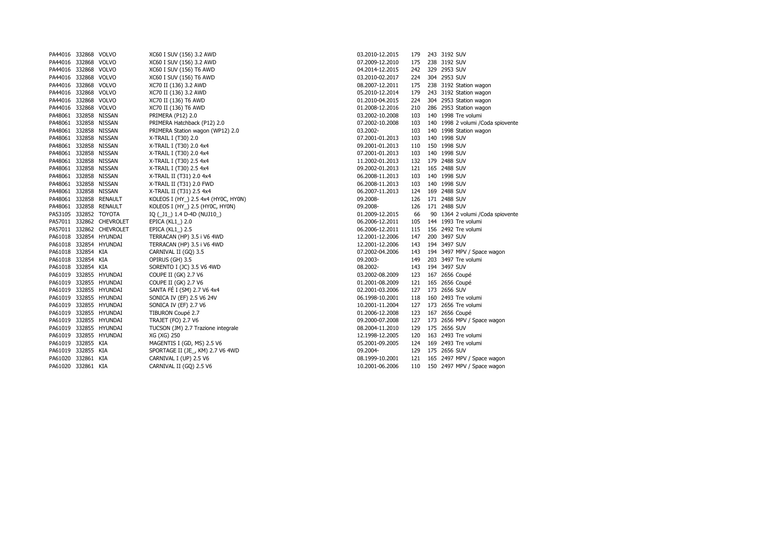| PA44016 332868 VOLVO  |                          | XC60 I SUV (156) 3.2 AWD           | 03.2010-12.2015 | 179 | 243 3192 SUV                  |
|-----------------------|--------------------------|------------------------------------|-----------------|-----|-------------------------------|
| PA44016 332868 VOLVO  |                          | XC60 I SUV (156) 3.2 AWD           | 07.2009-12.2010 | 175 | 238 3192 SUV                  |
| PA44016 332868 VOLVO  |                          | XC60 I SUV (156) T6 AWD            | 04.2014-12.2015 | 242 | 329 2953 SUV                  |
| PA44016 332868 VOLVO  |                          | XC60 I SUV (156) T6 AWD            | 03.2010-02.2017 | 224 | 304 2953 SUV                  |
| PA44016 332868 VOLVO  |                          | XC70 II (136) 3.2 AWD              | 08.2007-12.2011 | 175 | 238 3192 Station wagon        |
| PA44016 332868 VOLVO  |                          | XC70 II (136) 3.2 AWD              | 05.2010-12.2014 | 179 | 243 3192 Station wagon        |
| PA44016 332868 VOLVO  |                          | XC70 II (136) T6 AWD               | 01.2010-04.2015 | 224 | 304 2953 Station wagon        |
| PA44016 332868 VOLVO  |                          | XC70 II (136) T6 AWD               | 01.2008-12.2016 | 210 | 286 2953 Station wagon        |
| PA48061 332858 NISSAN |                          | <b>PRIMERA (P12) 2.0</b>           | 03.2002-10.2008 | 103 | 140 1998 Tre volumi           |
| PA48061 332858 NISSAN |                          | PRIMERA Hatchback (P12) 2.0        | 07.2002-10.2008 | 103 | 140 1998 2 volumi / Coda spio |
| PA48061 332858 NISSAN |                          | PRIMERA Station wagon (WP12) 2.0   | 03.2002-        | 103 | 140 1998 Station wagon        |
| PA48061 332858 NISSAN |                          | X-TRAIL I (T30) 2.0                | 07.2001-01.2013 | 103 | 140 1998 SUV                  |
| PA48061 332858 NISSAN |                          | X-TRAIL I (T30) 2.0 4x4            | 09.2001-01.2013 | 110 | 150 1998 SUV                  |
| PA48061 332858 NISSAN |                          | X-TRAIL I (T30) 2.0 4x4            | 07.2001-01.2013 | 103 | 140 1998 SUV                  |
| PA48061 332858 NISSAN |                          | X-TRAIL I (T30) 2.5 4x4            | 11.2002-01.2013 | 132 | 179 2488 SUV                  |
| PA48061 332858 NISSAN |                          | X-TRAIL I (T30) 2.5 4x4            | 09.2002-01.2013 | 121 | 165 2488 SUV                  |
| PA48061 332858 NISSAN |                          | X-TRAIL II (T31) 2.0 4x4           | 06.2008-11.2013 | 103 | 140 1998 SUV                  |
| PA48061 332858 NISSAN |                          | X-TRAIL II (T31) 2.0 FWD           | 06.2008-11.2013 | 103 | 140 1998 SUV                  |
| PA48061 332858 NISSAN |                          | X-TRAIL II (T31) 2.5 4x4           | 06.2007-11.2013 | 124 | 169 2488 SUV                  |
|                       | PA48061 332858 RENAULT   | KOLEOS I (HY) 2.5 4x4 (HY0C, HY0N) | 09.2008-        | 126 | 171 2488 SUV                  |
|                       | PA48061 332858 RENAULT   | KOLEOS I (HY_) 2.5 (HY0C, HY0N)    | 09.2008-        | 126 | 171 2488 SUV                  |
| PA53105 332852 TOYOTA |                          | IQ (_J1_) 1.4 D-4D (NUJ10_)        | 01.2009-12.2015 | 66  | 90 1364 2 volumi / Coda spio  |
|                       | PA57011 332862 CHEVROLET | EPICA (KL1_) 2.0                   | 06.2006-12.2011 | 105 | 144 1993 Tre volumi           |
|                       | PA57011 332862 CHEVROLET | EPICA (KL1) 2.5                    | 06.2006-12.2011 | 115 | 156 2492 Tre volumi           |
|                       | PA61018 332854 HYUNDAI   | TERRACAN (HP) 3.5 i V6 4WD         | 12.2001-12.2006 | 147 | 200 3497 SUV                  |
|                       | PA61018 332854 HYUNDAI   | TERRACAN (HP) 3.5 i V6 4WD         | 12.2001-12.2006 | 143 | 194 3497 SUV                  |
| PA61018 332854 KIA    |                          | CARNIVAL II (GQ) 3.5               | 07.2002-04.2006 | 143 | 194 3497 MPV / Space wagon    |
| PA61018 332854 KIA    |                          | OPIRUS (GH) 3.5                    | 09.2003-        | 149 | 203 3497 Tre volumi           |
| PA61018 332854 KIA    |                          | SORENTO I (JC) 3.5 V6 4WD          | 08.2002-        | 143 | 194 3497 SUV                  |
|                       | PA61019 332855 HYUNDAI   | COUPE II (GK) 2.7 V6               | 03.2002-08.2009 | 123 | 167 2656 Coupé                |
|                       | PA61019 332855 HYUNDAI   | COUPE II (GK) 2.7 V6               | 01.2001-08.2009 | 121 | 165 2656 Coupé                |
|                       | PA61019 332855 HYUNDAI   | SANTA FÉ I (SM) 2.7 V6 4x4         | 02.2001-03.2006 | 127 | 173 2656 SUV                  |
|                       | PA61019 332855 HYUNDAI   | SONICA IV (EF) 2.5 V6 24V          | 06.1998-10.2001 | 118 | 160 2493 Tre volumi           |
|                       | PA61019 332855 HYUNDAI   | SONICA IV (EF) 2.7 V6              | 10.2001-11.2004 | 127 | 173 2656 Tre volumi           |
|                       | PA61019 332855 HYUNDAI   | TIBURON Coupé 2.7                  | 01.2006-12.2008 | 123 | 167 2656 Coupé                |
|                       | PA61019 332855 HYUNDAI   | <b>TRAJET (FO) 2.7 V6</b>          | 09.2000-07.2008 | 127 | 173 2656 MPV / Space wagon    |
|                       | PA61019 332855 HYUNDAI   | TUCSON (JM) 2.7 Trazione integrale | 08.2004-11.2010 | 129 | 175 2656 SUV                  |
|                       | PA61019 332855 HYUNDAI   | XG (XG) 250                        | 12.1998-12.2005 | 120 | 163 2493 Tre volumi           |
| PA61019 332855 KIA    |                          | MAGENTIS I (GD, MS) 2.5 V6         | 05.2001-09.2005 | 124 | 169 2493 Tre volumi           |
| PA61019 332855 KIA    |                          | SPORTAGE II (JE_, KM) 2.7 V6 4WD   | 09.2004-        | 129 | 175 2656 SUV                  |
| PA61020 332861 KIA    |                          | CARNIVAL I (UP) 2.5 V6             | 08.1999-10.2001 | 121 | 165 2497 MPV / Space wagon    |
| PA61020 332861 KIA    |                          | CARNIVAL II (GQ) 2.5 V6            | 10.2001-06.2006 | 110 | 150 2497 MPV / Space wagon    |
|                       |                          |                                    |                 |     |                               |

| 03.2010-12.2015 | 179 | 243 | 3192 SUV                       |
|-----------------|-----|-----|--------------------------------|
| 07.2009-12.2010 | 175 | 238 | 3192 SUV                       |
| 04.2014-12.2015 | 242 | 329 | 2953 SUV                       |
| 03.2010-02.2017 | 224 |     | 304 2953 SUV                   |
| 08.2007-12.2011 | 175 |     | 238 3192 Station wagon         |
| 05.2010-12.2014 | 179 |     | 243 3192 Station wagon         |
| 01.2010-04.2015 | 224 | 304 | 2953 Station wagon             |
| 01.2008-12.2016 | 210 |     | 286 2953 Station wagon         |
| 03.2002-10.2008 | 103 |     | 140 1998 Tre volumi            |
| 07.2002-10.2008 | 103 | 140 | 1998 2 volumi / Coda spiovente |
| 03.2002-        | 103 | 140 | 1998 Station wagon             |
| 07.2001-01.2013 | 103 | 140 | 1998 SUV                       |
| 09.2001-01.2013 | 110 | 150 | 1998 SUV                       |
| 07.2001-01.2013 | 103 | 140 | 1998 SUV                       |
| 11.2002-01.2013 | 132 | 179 | 2488 SUV                       |
| 09.2002-01.2013 | 121 | 165 | 2488 SUV                       |
| 06.2008-11.2013 | 103 | 140 | 1998 SUV                       |
| 06.2008-11.2013 | 103 | 140 | 1998 SUV                       |
| 06.2007-11.2013 | 124 |     | 169 2488 SUV                   |
| 09.2008-        | 126 |     | 171 2488 SUV                   |
| 09.2008-        | 126 | 171 | 2488 SUV                       |
| 01.2009-12.2015 | 66  | 90  | 1364 2 volumi / Coda spiovente |
| 06.2006-12.2011 | 105 |     | 144 1993 Tre volumi            |
| 06.2006-12.2011 | 115 |     | 156 2492 Tre volumi            |
| 12.2001-12.2006 | 147 |     | 200 3497 SUV                   |
| 12.2001-12.2006 | 143 |     | 194 3497 SUV                   |
| 07.2002-04.2006 | 143 |     | 194 3497 MPV / Space wagon     |
| 09.2003-        | 149 |     | 203 3497 Tre volumi            |
| 08.2002-        | 143 |     | 194 3497 SUV                   |
| 03.2002-08.2009 | 123 |     | 167 2656 Coupé                 |
| 01.2001-08.2009 | 121 |     | 165 2656 Coupé                 |
| 02.2001-03.2006 | 127 |     | 173 2656 SUV                   |
| 06.1998-10.2001 | 118 |     | 160 2493 Tre volumi            |
| 10.2001-11.2004 | 127 |     | 173 2656 Tre volumi            |
| 01.2006-12.2008 | 123 |     | 167 2656 Coupé                 |
| 09.2000-07.2008 | 127 |     | 173 2656 MPV / Space wagon     |
| 08.2004-11.2010 | 129 |     | 175 2656 SUV                   |
| 12.1998-12.2005 | 120 |     | 163 2493 Tre volumi            |
| 05.2001-09.2005 | 124 |     | 169 2493 Tre volumi            |
| 09.2004-        | 129 |     | 175 2656 SUV                   |
| 08.1999-10.2001 | 121 |     | 165 2497 MPV / Space wagon     |
| 10.2001-06.2006 | 110 | 150 | 2497 MPV / Space wagon         |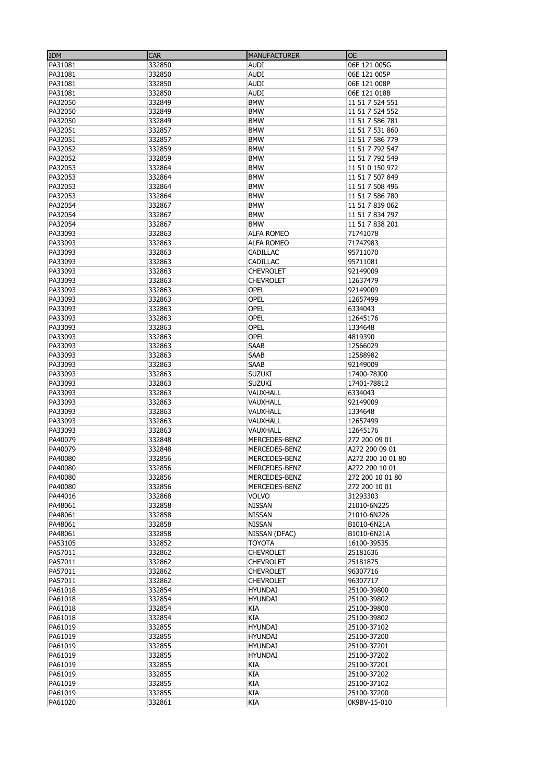| <b>IDM</b> | <b>CAR</b> | <b>MANUFACTURER</b>            | <b>OE</b>         |
|------------|------------|--------------------------------|-------------------|
| PA31081    | 332850     | <b>AUDI</b>                    | 06E 121 005G      |
| PA31081    | 332850     | AUDI                           | 06E 121 005P      |
| PA31081    | 332850     | <b>AUDI</b>                    | 06E 121 008P      |
| PA31081    | 332850     | <b>AUDI</b>                    | 06E 121 018B      |
|            | 332849     |                                |                   |
| PA32050    |            | <b>BMW</b>                     | 11 51 7 524 551   |
| PA32050    | 332849     | <b>BMW</b>                     | 11 51 7 524 552   |
| PA32050    | 332849     | <b>BMW</b>                     | 11 51 7 586 781   |
| PA32051    | 332857     | <b>BMW</b>                     | 11 51 7 531 860   |
| PA32051    | 332857     | <b>BMW</b>                     | 11 51 7 586 779   |
| PA32052    | 332859     | <b>BMW</b>                     | 11 51 7 792 547   |
| PA32052    | 332859     | <b>BMW</b>                     | 11 51 7 792 549   |
| PA32053    | 332864     | <b>BMW</b>                     | 11 51 0 150 972   |
| PA32053    | 332864     | <b>BMW</b>                     | 11 51 7 507 849   |
| PA32053    | 332864     | <b>BMW</b>                     | 11 51 7 508 496   |
| PA32053    | 332864     | <b>BMW</b>                     | 11 51 7 586 780   |
| PA32054    | 332867     | <b>BMW</b>                     | 11 51 7 839 062   |
| PA32054    | 332867     | <b>BMW</b>                     | 11 51 7 834 797   |
| PA32054    | 332867     | <b>BMW</b>                     | 11 51 7 838 201   |
| PA33093    | 332863     | <b>ALFA ROMEO</b>              | 71741078          |
|            |            |                                |                   |
| PA33093    | 332863     | <b>ALFA ROMEO</b>              | 71747983          |
| PA33093    | 332863     | CADILLAC                       | 95711070          |
| PA33093    | 332863     | <b>CADILLAC</b>                | 95711081          |
| PA33093    | 332863     | <b>CHEVROLET</b>               | 92149009          |
| PA33093    | 332863     | <b>CHEVROLET</b>               | 12637479          |
| PA33093    | 332863     | OPEL                           | 92149009          |
| PA33093    | 332863     | OPEL                           | 12657499          |
| PA33093    | 332863     | <b>OPEL</b>                    | 6334043           |
| PA33093    | 332863     | <b>OPEL</b>                    | 12645176          |
| PA33093    | 332863     | OPEL                           | 1334648           |
| PA33093    | 332863     | <b>OPEL</b>                    | 4819390           |
| PA33093    | 332863     | <b>SAAB</b>                    | 12566029          |
| PA33093    | 332863     | <b>SAAB</b>                    | 12588982          |
|            |            |                                |                   |
| PA33093    | 332863     | <b>SAAB</b>                    | 92149009          |
| PA33093    | 332863     | <b>SUZUKI</b>                  | 17400-78J00       |
| PA33093    | 332863     | <b>SUZUKI</b>                  | 17401-78812       |
| PA33093    | 332863     | VAUXHALL                       | 6334043           |
| PA33093    | 332863     | VAUXHALL                       | 92149009          |
| PA33093    | 332863     | VAUXHALL                       | 1334648           |
| PA33093    | 332863     | VAUXHALL                       | 12657499          |
| PA33093    | 332863     | VAUXHALL                       | 12645176          |
| PA40079    | 332848     | MERCEDES-BENZ                  | 272 200 09 01     |
| PA40079    | 332848     | MERCEDES-BENZ                  | A272 200 09 01    |
| PA40080    | 332856     | MERCEDES-BENZ                  | A272 200 10 01 80 |
| PA40080    | 332856     |                                | A272 200 10 01    |
| PA40080    | 332856     | MERCEDES-BENZ<br>MERCEDES-BENZ | 272 200 10 01 80  |
|            |            |                                |                   |
| PA40080    | 332856     | MERCEDES-BENZ                  | 272 200 10 01     |
| PA44016    | 332868     | <b>VOLVO</b>                   | 31293303          |
| PA48061    | 332858     | <b>NISSAN</b>                  | 21010-6N225       |
| PA48061    | 332858     | <b>NISSAN</b>                  | 21010-6N226       |
| PA48061    | 332858     | <b>NISSAN</b>                  | B1010-6N21A       |
| PA48061    | 332858     | NISSAN (DFAC)                  | B1010-6N21A       |
| PA53105    | 332852     | <b>TOYOTA</b>                  | 16100-39535       |
| PA57011    | 332862     | <b>CHEVROLET</b>               | 25181636          |
| PA57011    | 332862     | <b>CHEVROLET</b>               | 25181875          |
| PA57011    | 332862     | <b>CHEVROLET</b>               | 96307716          |
| PA57011    | 332862     | <b>CHEVROLET</b>               | 96307717          |
| PA61018    | 332854     | HYUNDAI                        | 25100-39800       |
| PA61018    | 332854     | <b>HYUNDAI</b>                 | 25100-39802       |
| PA61018    | 332854     | КIА                            | 25100-39800       |
| PA61018    | 332854     | КIА                            | 25100-39802       |
|            |            |                                |                   |
| PA61019    | 332855     | <b>HYUNDAI</b>                 | 25100-37102       |
| PA61019    | 332855     | <b>HYUNDAI</b>                 | 25100-37200       |
| PA61019    | 332855     | HYUNDAI                        | 25100-37201       |
| PA61019    | 332855     | <b>HYUNDAI</b>                 | 25100-37202       |
| PA61019    | 332855     | КIА                            | 25100-37201       |
| PA61019    | 332855     | <b>KIA</b>                     | 25100-37202       |
| PA61019    | 332855     | КIА                            | 25100-37102       |
| PA61019    | 332855     | <b>KIA</b>                     | 25100-37200       |
| PA61020    | 332861     | КIА                            | 0K9BV-15-010      |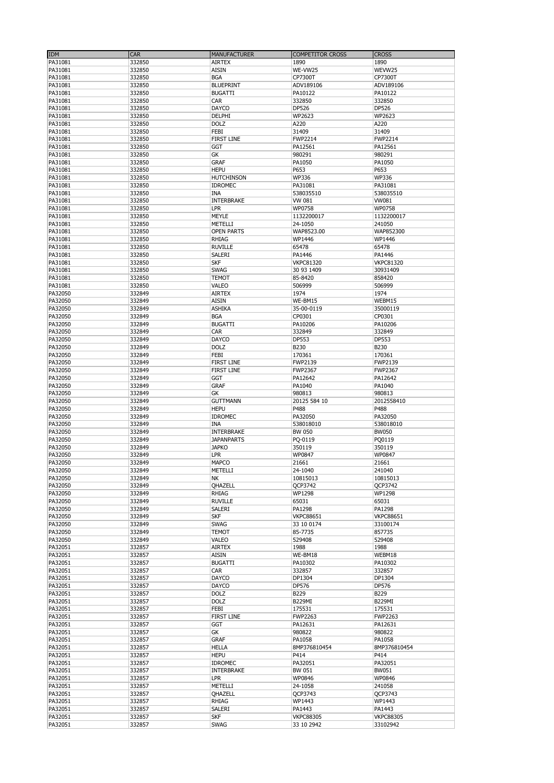| IDM     | CAR    | <b>MANUFACTURER</b> | <b>COMPETITOR CROSS</b> | <b>CROSS</b>     |
|---------|--------|---------------------|-------------------------|------------------|
| PA31081 | 332850 | <b>AIRTEX</b>       | 1890                    | 1890             |
| PA31081 | 332850 | <b>AISIN</b>        | WE-VW25                 | WEVW25           |
| PA31081 | 332850 | <b>BGA</b>          | CP7300T                 | CP7300T          |
| PA31081 | 332850 | <b>BLUEPRINT</b>    | ADV189106               | ADV189106        |
| PA31081 | 332850 | <b>BUGATTI</b>      | PA10122                 | PA10122          |
| PA31081 | 332850 | CAR                 | 332850                  | 332850           |
| PA31081 | 332850 | <b>DAYCO</b>        | DP526                   | DP526            |
| PA31081 | 332850 | DELPHI              | WP2623                  | WP2623           |
| PA31081 | 332850 | <b>DOLZ</b>         | A220                    | A220             |
| PA31081 | 332850 | FEBI                | 31409                   | 31409            |
| PA31081 | 332850 | <b>FIRST LINE</b>   | FWP2214                 | <b>FWP2214</b>   |
| PA31081 | 332850 | <b>GGT</b>          | PA12561                 | PA12561          |
| PA31081 | 332850 | GK                  | 980291                  | 980291           |
| PA31081 | 332850 | <b>GRAF</b>         | PA1050                  | PA1050           |
| PA31081 | 332850 | <b>HEPU</b>         | P653                    | P653             |
| PA31081 | 332850 | <b>HUTCHINSON</b>   | <b>WP336</b>            | <b>WP336</b>     |
| PA31081 | 332850 | <b>IDROMEC</b>      | PA31081                 | PA31081          |
| PA31081 | 332850 | <b>INA</b>          | 538035510               | 538035510        |
| PA31081 | 332850 | <b>INTERBRAKE</b>   | VW 081                  | <b>VW081</b>     |
| PA31081 | 332850 | LPR                 | WP0758                  | WP0758           |
| PA31081 | 332850 | <b>MEYLE</b>        | 1132200017              | 1132200017       |
| PA31081 | 332850 | METELLI             | 24-1050                 | 241050           |
| PA31081 | 332850 | <b>OPEN PARTS</b>   | WAP8523.00              | WAP852300        |
| PA31081 | 332850 | <b>RHIAG</b>        | WP1446                  | WP1446           |
| PA31081 | 332850 | <b>RUVILLE</b>      | 65478                   | 65478            |
| PA31081 | 332850 | <b>SALERI</b>       | PA1446                  | PA1446           |
| PA31081 | 332850 | <b>SKF</b>          | <b>VKPC81320</b>        | <b>VKPC81320</b> |
| PA31081 | 332850 | <b>SWAG</b>         | 30 93 1409              | 30931409         |
| PA31081 | 332850 | <b>TEMOT</b>        | 85-8420                 | 858420           |
| PA31081 | 332850 | VALEO               | 506999                  | 506999           |
| PA32050 | 332849 | <b>AIRTEX</b>       | 1974                    | 1974             |
| PA32050 | 332849 | <b>AISIN</b>        | WE-BM15                 | WEBM15           |
| PA32050 | 332849 | <b>ASHIKA</b>       | 35-00-0119              | 35000119         |
|         |        | <b>BGA</b>          | CP0301                  |                  |
| PA32050 | 332849 |                     |                         | CP0301           |
| PA32050 | 332849 | <b>BUGATTI</b>      | PA10206                 | PA10206          |
| PA32050 | 332849 | CAR                 | 332849                  | 332849           |
| PA32050 | 332849 | <b>DAYCO</b>        | DP553                   | DP553            |
| PA32050 | 332849 | <b>DOLZ</b>         | B230                    | B230             |
| PA32050 | 332849 | <b>FEBI</b>         | 170361                  | 170361           |
| PA32050 | 332849 | <b>FIRST LINE</b>   | FWP2139                 | FWP2139          |
| PA32050 | 332849 | <b>FIRST LINE</b>   | <b>FWP2367</b>          | <b>FWP2367</b>   |
| PA32050 | 332849 | <b>GGT</b>          | PA12642                 | PA12642          |
| PA32050 | 332849 | <b>GRAF</b>         | PA1040                  | PA1040           |
| PA32050 | 332849 | <b>GK</b>           | 980813                  | 980813           |
| PA32050 | 332849 | <b>GUTTMANN</b>     | 20125 584 10            | 2012558410       |
| PA32050 | 332849 | <b>HEPU</b>         | P488                    | P488             |
| PA32050 | 332849 | <b>IDROMEC</b>      | PA32050                 | PA32050          |
| PA32050 | 332849 | <b>INA</b>          | 538018010               | 538018010        |
| PA32050 | 332849 | <b>INTERBRAKE</b>   | <b>BW 050</b>           | <b>BW050</b>     |
| PA32050 | 332849 | <b>JAPANPARTS</b>   | PQ-0119                 | PQ0119           |
| PA32050 | 332849 | <b>JAPKO</b>        | 350119                  | 350119           |
| PA32050 | 332849 | <b>LPR</b>          | WP0847                  | WP0847           |
| PA32050 | 332849 | <b>MAPCO</b>        | 21661                   | 21661            |
| PA32050 | 332849 | METELLI             | 24-1040                 | 241040           |
| PA32050 | 332849 | NK                  | 10815013                | 10815013         |
| PA32050 | 332849 | QHAZELL             | QCP3742                 | QCP3742          |
| PA32050 | 332849 | <b>RHIAG</b>        | WP1298                  | WP1298           |
| PA32050 | 332849 | <b>RUVILLE</b>      | 65031                   | 65031            |
| PA32050 | 332849 | SALERI              | PA1298                  | PA1298           |
| PA32050 | 332849 | <b>SKF</b>          | <b>VKPC88651</b>        | <b>VKPC88651</b> |
| PA32050 | 332849 | SWAG                | 33 10 0174              | 33100174         |
| PA32050 | 332849 | <b>TEMOT</b>        | 85-7735                 | 857735           |
| PA32050 | 332849 | <b>VALEO</b>        | 529408                  | 529408           |
| PA32051 | 332857 | <b>AIRTEX</b>       | 1988                    | 1988             |
| PA32051 | 332857 | <b>AISIN</b>        | WE-BM18                 | WEBM18           |
| PA32051 | 332857 | <b>BUGATTI</b>      | PA10302                 | PA10302          |
| PA32051 | 332857 | CAR                 | 332857                  | 332857           |
| PA32051 | 332857 | <b>DAYCO</b>        | DP1304                  | DP1304           |
| PA32051 | 332857 | <b>DAYCO</b>        | DP576                   | DP576            |
| PA32051 | 332857 | <b>DOLZ</b>         | B229                    | B229             |
| PA32051 | 332857 | <b>DOLZ</b>         | <b>B229MI</b>           | <b>B229MI</b>    |
| PA32051 | 332857 | FEBI                | 175531                  | 175531           |
| PA32051 | 332857 | <b>FIRST LINE</b>   | <b>FWP2263</b>          | <b>FWP2263</b>   |
| PA32051 | 332857 | <b>GGT</b>          | PA12631                 | PA12631          |
| PA32051 | 332857 | GK                  | 980822                  | 980822           |
| PA32051 | 332857 | <b>GRAF</b>         | PA1058                  | PA1058           |
| PA32051 | 332857 | <b>HELLA</b>        | 8MP376810454            | 8MP376810454     |
| PA32051 | 332857 | <b>HEPU</b>         | P414                    | P414             |
| PA32051 | 332857 | <b>IDROMEC</b>      | PA32051                 | PA32051          |
| PA32051 | 332857 | <b>INTERBRAKE</b>   | BW 051                  | <b>BW051</b>     |
| PA32051 | 332857 | <b>LPR</b>          | WP0846                  | WP0846           |
| PA32051 | 332857 | METELLI             | 24-1058                 | 241058           |
| PA32051 | 332857 | OHAZELL             | QCP3743                 | QCP3743          |
| PA32051 | 332857 | RHIAG               | WP1443                  | WP1443           |
| PA32051 | 332857 | SALERI              | PA1443                  | PA1443           |
| PA32051 | 332857 | <b>SKF</b>          | <b>VKPC88305</b>        | <b>VKPC88305</b> |
| PA32051 | 332857 | <b>SWAG</b>         | 33 10 2942              | 33102942         |
|         |        |                     |                         |                  |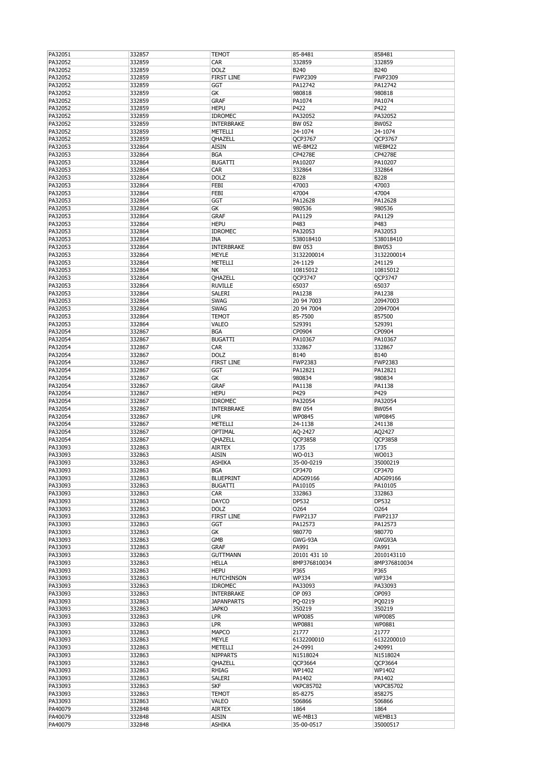| PA32051 | 332857 | TEMOT             | 85-8481          | 858481           |
|---------|--------|-------------------|------------------|------------------|
| PA32052 | 332859 | CAR               | 332859           | 332859           |
| PA32052 | 332859 | <b>DOLZ</b>       | <b>B240</b>      | B240             |
| PA32052 | 332859 | <b>FIRST LINE</b> | <b>FWP2309</b>   | <b>FWP2309</b>   |
|         |        |                   |                  |                  |
| PA32052 | 332859 | GGT               | PA12742          | PA12742          |
| PA32052 | 332859 | GK                | 980818           | 980818           |
| PA32052 | 332859 | <b>GRAF</b>       | PA1074           | PA1074           |
| PA32052 | 332859 | <b>HEPU</b>       | P422             | P422             |
| PA32052 | 332859 | <b>IDROMEC</b>    | PA32052          | PA32052          |
| PA32052 | 332859 | <b>INTERBRAKE</b> | BW 052           | <b>BW052</b>     |
| PA32052 |        |                   |                  | 24-1074          |
|         | 332859 | METELLI           | 24-1074          |                  |
| PA32052 | 332859 | QHAZELL           | QCP3767          | QCP3767          |
| PA32053 | 332864 | AISIN             | WE-BM22          | WEBM22           |
| PA32053 | 332864 | <b>BGA</b>        | CP4278E          | CP4278E          |
| PA32053 | 332864 | <b>BUGATTI</b>    | PA10207          | PA10207          |
| PA32053 | 332864 | CAR               | 332864           | 332864           |
| PA32053 | 332864 | <b>DOLZ</b>       | <b>B228</b>      | <b>B228</b>      |
| PA32053 | 332864 | FEBI              | 47003            | 47003            |
|         |        |                   |                  |                  |
| PA32053 | 332864 | FEBI              | 47004            | 47004            |
| PA32053 | 332864 | GGT               | PA12628          | PA12628          |
| PA32053 | 332864 | GК                | 980536           | 980536           |
| PA32053 | 332864 | <b>GRAF</b>       | PA1129           | PA1129           |
| PA32053 | 332864 | <b>HEPU</b>       | P483             | P483             |
| PA32053 | 332864 | <b>IDROMEC</b>    | PA32053          | PA32053          |
|         |        |                   |                  |                  |
| PA32053 | 332864 | INA               | 538018410        | 538018410        |
| PA32053 | 332864 | INTERBRAKE        | <b>BW 053</b>    | <b>BW053</b>     |
| PA32053 | 332864 | <b>MEYLE</b>      | 3132200014       | 3132200014       |
| PA32053 | 332864 | METELLI           | 24-1129          | 241129           |
| PA32053 | 332864 | NΚ                | 10815012         | 10815012         |
| PA32053 | 332864 | QHAZELL           | QCP3747          | <b>QCP3747</b>   |
| PA32053 | 332864 | <b>RUVILLE</b>    | 65037            | 65037            |
|         |        |                   |                  |                  |
| PA32053 | 332864 | SALERI            | PA1238           | PA1238           |
| PA32053 | 332864 | <b>SWAG</b>       | 20 94 7003       | 20947003         |
| PA32053 | 332864 | <b>SWAG</b>       | 20 94 7004       | 20947004         |
| PA32053 | 332864 | TEMOT             | 85-7500          | 857500           |
| PA32053 | 332864 | VALEO             | 529391           | 529391           |
| PA32054 | 332867 | <b>BGA</b>        | CP0904           | CP0904           |
|         |        |                   |                  |                  |
| PA32054 | 332867 | <b>BUGATTI</b>    | PA10367          | PA10367          |
| PA32054 | 332867 | CAR               | 332867           | 332867           |
| PA32054 | 332867 | <b>DOLZ</b>       | B140             | B140             |
| PA32054 | 332867 | <b>FIRST LINE</b> | <b>FWP2383</b>   | <b>FWP2383</b>   |
| PA32054 | 332867 | GGT               | PA12821          | PA12821          |
| PA32054 | 332867 | GК                | 980834           | 980834           |
|         |        |                   |                  |                  |
| PA32054 | 332867 | <b>GRAF</b>       | PA1138           | PA1138           |
| PA32054 | 332867 | <b>HEPU</b>       | P429             | P429             |
| PA32054 | 332867 | <b>IDROMEC</b>    | PA32054          | PA32054          |
| PA32054 | 332867 | INTERBRAKE        | <b>BW 054</b>    | <b>BW054</b>     |
| PA32054 | 332867 | <b>LPR</b>        | WP0845           | WP0845           |
| PA32054 | 332867 | METELLI           | 24-1138          | 241138           |
|         |        |                   |                  |                  |
| PA32054 | 332867 | OPTIMAL           | AQ-2427          | AQ2427           |
| PA32054 | 332867 | QHAZELL           | QCP3858          | QCP3858          |
| PA33093 | 332863 | <b>AIRTEX</b>     | 1735             | 1735             |
| PA33093 | 332863 | AISIN             | WO-013           | WO013            |
| PA33093 | 332863 | ASHIKA            | 35-00-0219       | 35000219         |
| PA33093 | 332863 | BGA               | CP3470           | CP3470           |
|         |        |                   |                  |                  |
| PA33093 | 332863 | <b>BLUEPRINT</b>  | ADG09166         | ADG09166         |
| PA33093 | 332863 | <b>BUGATTI</b>    | PA10105          | PA10105          |
| PA33093 | 332863 | CAR               | 332863           | 332863           |
| PA33093 | 332863 | DAYCO             | DP532            | DP532            |
| PA33093 | 332863 | <b>DOLZ</b>       | 0264             | 0264             |
| PA33093 | 332863 | <b>FIRST LINE</b> | FWP2137          | FWP2137          |
| PA33093 | 332863 | GGT               | PA12573          | PA12573          |
|         |        |                   |                  |                  |
| PA33093 | 332863 | GК                | 980770           | 980770           |
| PA33093 | 332863 | GMB               | GWG-93A          | GWG93A           |
| PA33093 | 332863 | <b>GRAF</b>       | PA991            | PA991            |
| PA33093 | 332863 | <b>GUTTMANN</b>   | 20101 431 10     | 2010143110       |
| PA33093 | 332863 | <b>HELLA</b>      | 8MP376810034     | 8MP376810034     |
| PA33093 | 332863 | <b>HEPU</b>       | P365             | P365             |
| PA33093 | 332863 | <b>HUTCHINSON</b> | <b>WP334</b>     | <b>WP334</b>     |
|         |        | <b>IDROMEC</b>    | PA33093          | PA33093          |
| PA33093 | 332863 |                   |                  |                  |
| PA33093 | 332863 | INTERBRAKE        | OP 093           | OP093            |
| PA33093 | 332863 | <b>JAPANPARTS</b> | PQ-0219          | PQ0219           |
| PA33093 | 332863 | <b>JAPKO</b>      | 350219           | 350219           |
| PA33093 | 332863 | <b>LPR</b>        | WP0085           | WP0085           |
| PA33093 | 332863 | lpr               | WP0881           | WP0881           |
|         | 332863 | MAPCO             |                  | 21777            |
| PA33093 |        |                   | 21777            |                  |
| PA33093 | 332863 | MEYLE             | 6132200010       | 6132200010       |
| PA33093 | 332863 | METELLI           | 24-0991          | 240991           |
| PA33093 | 332863 | <b>NIPPARTS</b>   | N1518024         | N1518024         |
| PA33093 | 332863 | QHAZELL           | QCP3664          | QCP3664          |
| PA33093 | 332863 | RHIAG             | WP1402           | WP1402           |
| PA33093 | 332863 | SALERI            | PA1402           | PA1402           |
|         |        |                   |                  |                  |
| PA33093 | 332863 | <b>SKF</b>        | <b>VKPC85702</b> | <b>VKPC85702</b> |
| PA33093 | 332863 | TEMOT             | 85-8275          | 858275           |
| PA33093 | 332863 | VALEO             | 506866           | 506866           |
| PA40079 | 332848 | <b>AIRTEX</b>     | 1864             | 1864             |
| PA40079 | 332848 | AISIN             | WE-MB13          | WEMB13           |
|         |        |                   |                  |                  |
| PA40079 | 332848 | <b>ASHIKA</b>     | 35-00-0517       | 35000517         |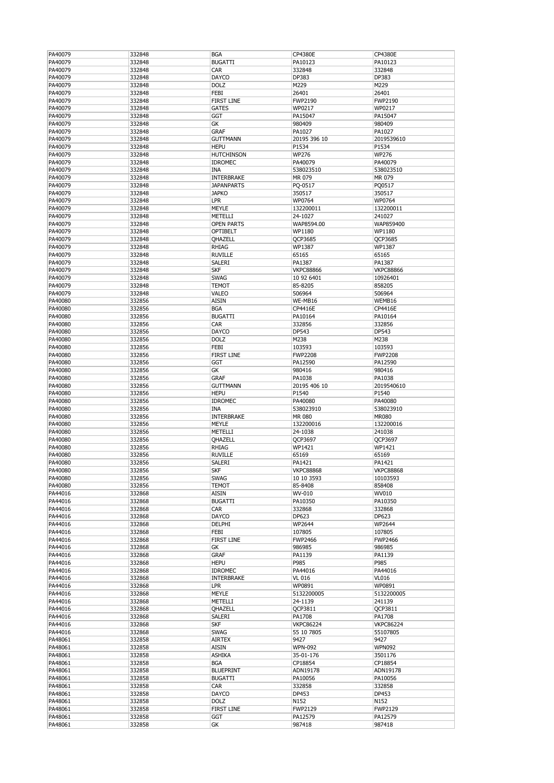| PA40079 | 332848 | <b>BGA</b>        | CP4380E          | CP4380E          |
|---------|--------|-------------------|------------------|------------------|
|         |        |                   |                  |                  |
| PA40079 | 332848 | <b>BUGATTI</b>    | PA10123          | PA10123          |
| PA40079 | 332848 | CAR               | 332848           | 332848           |
| PA40079 | 332848 | <b>DAYCO</b>      | DP383            | DP383            |
|         |        |                   |                  |                  |
| PA40079 | 332848 | <b>DOLZ</b>       | M229             | M229             |
| PA40079 | 332848 | FEBI              | 26401            | 26401            |
|         |        |                   |                  |                  |
| PA40079 | 332848 | <b>FIRST LINE</b> | <b>FWP2190</b>   | <b>FWP2190</b>   |
| PA40079 | 332848 | <b>GATES</b>      | WP0217           | WP0217           |
| PA40079 | 332848 | GGT               | PA15047          | PA15047          |
|         |        |                   |                  |                  |
| PA40079 | 332848 | GK                | 980409           | 980409           |
| PA40079 | 332848 | <b>GRAF</b>       | PA1027           | PA1027           |
| PA40079 | 332848 | GUTTMANN          | 20195 396 10     | 2019539610       |
|         |        |                   |                  |                  |
| PA40079 | 332848 | <b>HEPU</b>       | P1534            | P1534            |
| PA40079 | 332848 | <b>HUTCHINSON</b> | <b>WP276</b>     | <b>WP276</b>     |
|         |        |                   |                  |                  |
| PA40079 | 332848 | <b>IDROMEC</b>    | PA40079          | PA40079          |
| PA40079 | 332848 | <b>INA</b>        | 538023510        | 538023510        |
| PA40079 | 332848 | INTERBRAKE        | MR 079           | MR 079           |
|         |        |                   |                  |                  |
| PA40079 | 332848 | <b>JAPANPARTS</b> | PQ-0517          | PQ0517           |
| PA40079 | 332848 | <b>JAPKO</b>      | 350517           | 350517           |
| PA40079 | 332848 | <b>LPR</b>        | WP0764           | WP0764           |
|         |        |                   |                  |                  |
| PA40079 | 332848 | <b>MEYLE</b>      | 132200011        | 132200011        |
| PA40079 | 332848 | METELLI           | 24-1027          | 241027           |
| PA40079 | 332848 | <b>OPEN PARTS</b> | WAP8594.00       | WAP859400        |
|         |        |                   |                  |                  |
| PA40079 | 332848 | OPTIBELT          | WP1180           | WP1180           |
| PA40079 | 332848 | QHAZELL           | <b>QCP3685</b>   | QCP3685          |
|         |        |                   |                  |                  |
| PA40079 | 332848 | <b>RHIAG</b>      | WP1387           | WP1387           |
| PA40079 | 332848 | <b>RUVILLE</b>    | 65165            | 65165            |
| PA40079 | 332848 | SALERI            | PA1387           | PA1387           |
|         |        |                   |                  |                  |
| PA40079 | 332848 | <b>SKF</b>        | <b>VKPC88866</b> | <b>VKPC88866</b> |
| PA40079 | 332848 | <b>SWAG</b>       | 10 92 6401       | 10926401         |
| PA40079 | 332848 | <b>TEMOT</b>      | 85-8205          | 858205           |
|         |        |                   |                  |                  |
| PA40079 | 332848 | VALEO             | 506964           | 506964           |
| PA40080 | 332856 | <b>AISIN</b>      | WE-MB16          | WEMB16           |
|         |        |                   |                  |                  |
| PA40080 | 332856 | <b>BGA</b>        | CP4416E          | CP4416E          |
| PA40080 | 332856 | <b>BUGATTI</b>    | PA10164          | PA10164          |
| PA40080 | 332856 | CAR               | 332856           | 332856           |
|         |        |                   |                  |                  |
| PA40080 | 332856 | <b>DAYCO</b>      | DP543            | DP543            |
| PA40080 | 332856 | <b>DOLZ</b>       | M238             | M238             |
| PA40080 | 332856 | FEBI              | 103593           | 103593           |
|         |        |                   |                  |                  |
| PA40080 | 332856 | <b>FIRST LINE</b> | <b>FWP2208</b>   | <b>FWP2208</b>   |
| PA40080 | 332856 | <b>GGT</b>        | PA12590          | PA12590          |
|         |        |                   | 980416           | 980416           |
| PA40080 | 332856 | GК                |                  |                  |
| PA40080 | 332856 | <b>GRAF</b>       | PA1038           | PA1038           |
| PA40080 | 332856 | <b>GUTTMANN</b>   | 20195 406 10     | 2019540610       |
|         |        |                   |                  |                  |
| PA40080 | 332856 | <b>HEPU</b>       | P1540            | P1540            |
| PA40080 | 332856 | <b>IDROMEC</b>    | PA40080          | PA40080          |
| PA40080 | 332856 | <b>INA</b>        | 538023910        | 538023910        |
|         |        |                   |                  |                  |
| PA40080 | 332856 | <b>INTERBRAKE</b> | <b>MR 080</b>    | <b>MR080</b>     |
| PA40080 | 332856 | <b>MEYLE</b>      | 132200016        | 132200016        |
| PA40080 | 332856 | METELLI           | 24-1038          | 241038           |
|         |        |                   |                  |                  |
| PA40080 | 332856 | QHAZELL           | QCP3697          | QCP3697          |
| PA40080 | 332856 | <b>RHIAG</b>      | WP1421           | WP1421           |
| PA40080 | 332856 | <b>RUVILLE</b>    | 65169            | 65169            |
|         |        |                   |                  |                  |
| PA40080 | 332856 | SALERI            | PA1421           | PA1421           |
| PA40080 | 332856 | SKF               | <b>VKPC88868</b> | <b>VKPC88868</b> |
|         |        |                   |                  |                  |
| PA40080 | 332856 | SWAG              | 10 10 3593       | 10103593         |
| PA40080 | 332856 | TEMOT             | 85-8408          | 858408           |
| PA44016 | 332868 | <b>AISIN</b>      | WV-010           | WV010            |
|         |        |                   |                  |                  |
| PA44016 | 332868 | <b>BUGATTI</b>    | PA10350          | PA10350          |
| PA44016 | 332868 | <b>CAR</b>        | 332868           | 332868           |
| PA44016 | 332868 | DAYCO             | DP623            | DP623            |
| PA44016 | 332868 | DELPHI            | WP2644           | WP2644           |
|         |        |                   |                  |                  |
| PA44016 | 332868 | FEBI              | 107805           | 107805           |
| PA44016 | 332868 | <b>FIRST LINE</b> | <b>FWP2466</b>   | <b>FWP2466</b>   |
| PA44016 | 332868 | GК                | 986985           | 986985           |
|         |        |                   |                  |                  |
| PA44016 |        |                   |                  |                  |
| PA44016 | 332868 | <b>GRAF</b>       | PA1139           | PA1139           |
| PA44016 | 332868 | <b>HEPU</b>       | P985             | P985             |
|         |        |                   |                  |                  |
|         | 332868 | <b>IDROMEC</b>    | PA44016          | PA44016          |
| PA44016 | 332868 | INTERBRAKE        | <b>VL 016</b>    | <b>VL016</b>     |
| PA44016 | 332868 | <b>LPR</b>        | WP0891           | WP0891           |
|         |        |                   |                  |                  |
| PA44016 | 332868 | MEYLE             | 5132200005       | 5132200005       |
| PA44016 | 332868 | METELLI           | 24-1139          | 241139           |
| PA44016 | 332868 | QHAZELL           | QCP3811          | QCP3811          |
|         |        |                   |                  |                  |
| PA44016 | 332868 | SALERI            | PA1708           | PA1708           |
| PA44016 | 332868 | <b>SKF</b>        | <b>VKPC86224</b> | <b>VKPC86224</b> |
|         |        |                   |                  |                  |
| PA44016 | 332868 | <b>SWAG</b>       | 55 10 7805       | 55107805         |
| PA48061 | 332858 | <b>AIRTEX</b>     | 9427             | 9427             |
| PA48061 | 332858 | <b>AISIN</b>      | <b>WPN-092</b>   | <b>WPN092</b>    |
|         |        |                   |                  |                  |
| PA48061 | 332858 | <b>ASHIKA</b>     | 35-01-176        | 3501176          |
| PA48061 | 332858 | <b>BGA</b>        | CP18854          | CP18854          |
| PA48061 | 332858 | <b>BLUEPRINT</b>  | ADN19178         | ADN19178         |
|         |        |                   |                  |                  |
| PA48061 | 332858 | <b>BUGATTI</b>    | PA10056          | PA10056          |
| PA48061 | 332858 | <b>CAR</b>        | 332858           | 332858           |
| PA48061 | 332858 | DAYCO             | DP453            | DP453            |
|         |        |                   |                  |                  |
| PA48061 | 332858 | <b>DOLZ</b>       | N152             | N152             |
| PA48061 | 332858 | FIRST LINE        | FWP2129          | FWP2129          |
| PA48061 | 332858 | GGT               | PA12579          | PA12579          |
| PA48061 | 332858 | GК                | 987418           | 987418           |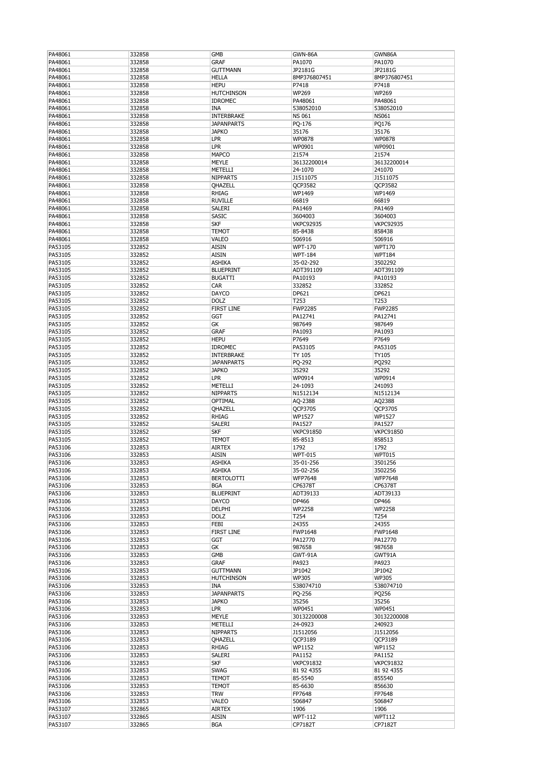| PA48061            | 332858           | <b>GMB</b>                 | GWN-86A                   | GWN86A                   |
|--------------------|------------------|----------------------------|---------------------------|--------------------------|
| PA48061            | 332858           | <b>GRAF</b>                | PA1070                    | PA1070                   |
| PA48061            | 332858           | <b>GUTTMANN</b>            | JP2181G                   | JP2181G                  |
| PA48061            | 332858           | <b>HELLA</b>               | 8MP376807451              | 8MP376807451             |
|                    |                  |                            |                           |                          |
| PA48061            | 332858           | <b>HEPU</b>                | P7418                     | P7418                    |
| PA48061            | 332858           | <b>HUTCHINSON</b>          | WP269                     | WP269                    |
| PA48061            | 332858           | <b>IDROMEC</b>             | PA48061                   | PA48061                  |
| PA48061            | 332858           | <b>INA</b>                 | 538052010                 | 538052010                |
| PA48061            | 332858           | <b>INTERBRAKE</b>          | <b>NS 061</b>             | <b>NS061</b>             |
| PA48061            | 332858           | <b>JAPANPARTS</b>          | PQ-176                    | PQ176                    |
| PA48061            | 332858           | <b>JAPKO</b>               | 35176                     | 35176                    |
|                    |                  |                            |                           |                          |
| PA48061            | 332858           | <b>LPR</b>                 | WP0878                    | WP0878                   |
| PA48061            | 332858           | LPR                        | WP0901                    | WP0901                   |
| PA48061            | 332858           | <b>MAPCO</b>               | 21574                     | 21574                    |
| PA48061            | 332858           | <b>MEYLE</b>               | 36132200014               | 36132200014              |
| PA48061            | 332858           | METELLI                    | 24-1070                   | 241070                   |
| PA48061            | 332858           | <b>NIPPARTS</b>            | J1511075                  | J1511075                 |
| PA48061            | 332858           | QHAZELL                    | QCP3582                   | QCP3582                  |
|                    |                  |                            |                           |                          |
| PA48061            | 332858           | <b>RHIAG</b>               | WP1469                    | WP1469                   |
| PA48061            | 332858           | <b>RUVILLE</b>             | 66819                     | 66819                    |
| PA48061            | 332858           | SALERI                     | PA1469                    | PA1469                   |
| PA48061            | 332858           | <b>SASIC</b>               | 3604003                   | 3604003                  |
| PA48061            | 332858           | <b>SKF</b>                 | <b>VKPC92935</b>          | <b>VKPC92935</b>         |
| PA48061            | 332858           | <b>TEMOT</b>               | 85-8438                   | 858438                   |
| PA48061            | 332858           | VALEO                      | 506916                    | 506916                   |
| PA53105            | 332852           | <b>AISIN</b>               | <b>WPT-170</b>            | <b>WPT170</b>            |
|                    |                  |                            |                           |                          |
| PA53105            | 332852           | <b>AISIN</b>               | <b>WPT-184</b>            | <b>WPT184</b>            |
| PA53105            | 332852           | <b>ASHIKA</b>              | 35-02-292                 | 3502292                  |
| PA53105            | 332852           | <b>BLUEPRINT</b>           | ADT391109                 | ADT391109                |
| PA53105            | 332852           | <b>BUGATTI</b>             | PA10193                   | PA10193                  |
| PA53105            | 332852           | CAR                        | 332852                    | 332852                   |
| PA53105            | 332852           | <b>DAYCO</b>               | DP621                     |                          |
|                    |                  |                            |                           | DP621                    |
| PA53105            | 332852           | <b>DOLZ</b>                | T253                      | T253                     |
| PA53105            | 332852           | <b>FIRST LINE</b>          | <b>FWP2285</b>            | <b>FWP2285</b>           |
| PA53105            | 332852           | <b>GGT</b>                 | PA12741                   | PA12741                  |
| PA53105            | 332852           | GK                         | 987649                    | 987649                   |
| PA53105            | 332852           | <b>GRAF</b>                | PA1093                    | PA1093                   |
| PA53105            | 332852           | <b>HEPU</b>                | P7649                     | P7649                    |
|                    |                  |                            |                           |                          |
| PA53105            | 332852           | <b>IDROMEC</b>             | PA53105                   | PA53105                  |
| PA53105            | 332852           | <b>INTERBRAKE</b>          | <b>TY 105</b>             | <b>TY105</b>             |
| PA53105            | 332852           | <b>JAPANPARTS</b>          | PQ-292                    | PQ292                    |
| PA53105            | 332852           | <b>JAPKO</b>               | 35292                     | 35292                    |
| PA53105            | 332852           | <b>LPR</b>                 | WP0914                    | WP0914                   |
| PA53105            | 332852           | METELLI                    | 24-1093                   | 241093                   |
|                    |                  |                            |                           |                          |
| PA53105            | 332852           | <b>NIPPARTS</b>            | N1512134                  | N1512134                 |
| PA53105            | 332852           | OPTIMAL                    | AQ-2388                   | AQ2388                   |
| PA53105            | 332852           | QHAZELL                    | QCP3705                   | QCP3705                  |
| PA53105            | 332852           | <b>RHIAG</b>               | WP1527                    | WP1527                   |
| PA53105            | 332852           | SALERI                     | PA1527                    | PA1527                   |
| PA53105            | 332852           | <b>SKF</b>                 | <b>VKPC91850</b>          | <b>VKPC91850</b>         |
| PA53105            | 332852           | <b>TEMOT</b>               | 85-8513                   | 858513                   |
|                    |                  |                            |                           |                          |
| PA53106            | 332853           | <b>AIRTEX</b>              | 1792                      | 1792                     |
| PA53106            | 332853           | <b>AISIN</b>               | <b>WPT-015</b>            | <b>WPT015</b>            |
| PA53106            | 332853           | <b>ASHIKA</b>              | 35-01-256                 | 3501256                  |
| PA53106            | 332853           | ASHIKA                     | 35-02-256                 | 3502256                  |
| PA53106            | 332853           | <b>BERTOLOTTI</b>          | <b>WFP7648</b>            | <b>WFP7648</b>           |
| PA53106            | 332853           | <b>BGA</b>                 | CP6378T                   | CP6378T                  |
| PA53106            | 332853           | <b>BLUEPRINT</b>           | ADT39133                  | ADT39133                 |
|                    |                  |                            |                           |                          |
| PA53106            | 332853           | <b>DAYCO</b>               | DP466                     | DP466                    |
| PA53106            | 332853           | DELPHI                     | <b>WP2258</b>             | <b>WP2258</b>            |
| PA53106            | 332853           |                            |                           |                          |
| PA53106            |                  | <b>DOLZ</b>                | T254                      | T254                     |
|                    | 332853           | FEBI                       | 24355                     | 24355                    |
| PA53106            | 332853           | <b>FIRST LINE</b>          | <b>FWP1648</b>            | <b>FWP1648</b>           |
|                    |                  |                            |                           |                          |
| PA53106            | 332853           | GGT                        | PA12770                   | PA12770                  |
| PA53106            | 332853           | GК                         | 987658                    | 987658                   |
| PA53106            | 332853           | GMB                        | GWT-91A                   | GWT91A                   |
| PA53106            | 332853           | <b>GRAF</b>                | PA923                     | PA923                    |
| PA53106            | 332853           | <b>GUTTMANN</b>            | JP1042                    | JP1042                   |
| PA53106            | 332853           | <b>HUTCHINSON</b>          | <b>WP305</b>              | <b>WP305</b>             |
| PA53106            | 332853           | INA                        | 538074710                 | 538074710                |
| PA53106            | 332853           | <b>JAPANPARTS</b>          | PQ-256                    | PQ256                    |
|                    |                  |                            |                           |                          |
| PA53106            | 332853           | <b>JAPKO</b>               | 35256                     | 35256                    |
| PA53106            | 332853           | LPR                        | WP0451                    | WP0451                   |
| PA53106            | 332853           | <b>MEYLE</b>               | 30132200008               | 30132200008              |
| PA53106            | 332853           | METELLI                    | 24-0923                   | 240923                   |
| PA53106            | 332853           | <b>NIPPARTS</b>            | J1512056                  | J1512056                 |
| PA53106            | 332853           | QHAZELL                    | QCP3189                   | QCP3189                  |
|                    |                  |                            |                           |                          |
| PA53106            | 332853           | RHIAG                      | WP1152                    | WP1152                   |
| PA53106            | 332853           | SALERI                     | PA1152                    | PA1152                   |
| PA53106            | 332853           | <b>SKF</b>                 | <b>VKPC91832</b>          | <b>VKPC91832</b>         |
| PA53106            | 332853           | <b>SWAG</b>                | 81 92 4355                | 81 92 4355               |
| PA53106            | 332853           | <b>TEMOT</b>               | 85-5540                   | 855540                   |
| PA53106            | 332853           | <b>TEMOT</b>               | 85-6630                   | 856630                   |
| PA53106            | 332853           | <b>TRW</b>                 | FP7648                    | FP7648                   |
|                    |                  |                            |                           |                          |
| PA53106            | 332853           | VALEO                      | 506847                    | 506847                   |
| PA53107            | 332865           | <b>AIRTEX</b>              | 1906                      | 1906                     |
| PA53107<br>PA53107 | 332865<br>332865 | <b>AISIN</b><br><b>BGA</b> | <b>WPT-112</b><br>CP7182T | <b>WPT112</b><br>CP7182T |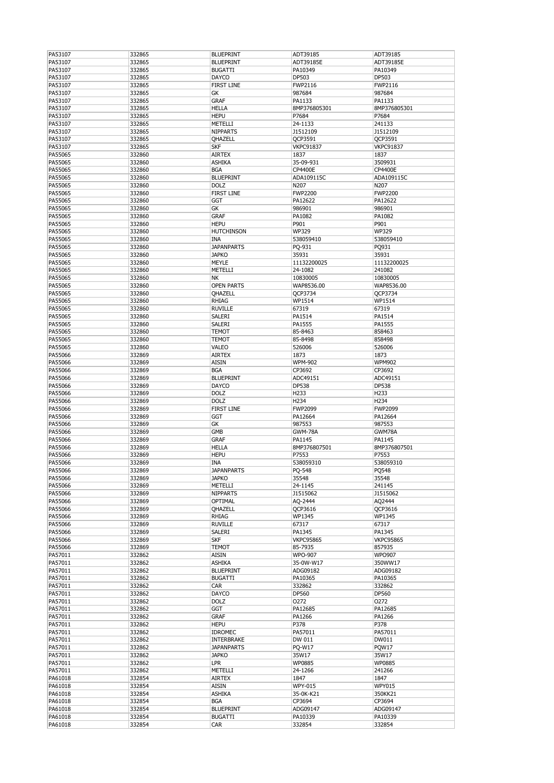| PA53107 | 332865 | <b>BLUEPRINT</b>  | ADT39185         | ADT39185         |
|---------|--------|-------------------|------------------|------------------|
| PA53107 | 332865 | <b>BLUEPRINT</b>  | ADT39185E        | ADT39185E        |
| PA53107 | 332865 | <b>BUGATTI</b>    | PA10349          | PA10349          |
| PA53107 | 332865 | <b>DAYCO</b>      | DP503            | DP503            |
|         |        |                   |                  |                  |
| PA53107 | 332865 | <b>FIRST LINE</b> | FWP2116          | FWP2116          |
| PA53107 | 332865 | GK                | 987684           | 987684           |
| PA53107 | 332865 | <b>GRAF</b>       | PA1133           | PA1133           |
| PA53107 | 332865 | <b>HELLA</b>      | 8MP376805301     | 8MP376805301     |
| PA53107 | 332865 | <b>HEPU</b>       | P7684            | P7684            |
| PA53107 | 332865 | METELLI           | 24-1133          | 241133           |
| PA53107 | 332865 | <b>NIPPARTS</b>   | J1512109         | J1512109         |
|         |        |                   |                  |                  |
| PA53107 | 332865 | QHAZELL           | QCP3591          | QCP3591          |
| PA53107 | 332865 | <b>SKF</b>        | <b>VKPC91837</b> | <b>VKPC91837</b> |
| PA55065 | 332860 | <b>AIRTEX</b>     | 1837             | 1837             |
| PA55065 | 332860 | <b>ASHIKA</b>     | 35-09-931        | 3509931          |
| PA55065 | 332860 | <b>BGA</b>        | CP4400E          | CP4400E          |
| PA55065 | 332860 | <b>BLUEPRINT</b>  | ADA109115C       | ADA109115C       |
| PA55065 | 332860 | <b>DOLZ</b>       | N207             | N207             |
|         |        |                   |                  |                  |
| PA55065 | 332860 | <b>FIRST LINE</b> | <b>FWP2200</b>   | <b>FWP2200</b>   |
| PA55065 | 332860 | <b>GGT</b>        | PA12622          | PA12622          |
| PA55065 | 332860 | GK                | 986901           | 986901           |
| PA55065 | 332860 | <b>GRAF</b>       | PA1082           | PA1082           |
| PA55065 | 332860 | <b>HEPU</b>       | P901             | P901             |
| PA55065 | 332860 | <b>HUTCHINSON</b> | <b>WP329</b>     | <b>WP329</b>     |
| PA55065 | 332860 | <b>INA</b>        | 538059410        | 538059410        |
|         |        | <b>JAPANPARTS</b> |                  |                  |
| PA55065 | 332860 |                   | PQ-931           | PO931            |
| PA55065 | 332860 | <b>JAPKO</b>      | 35931            | 35931            |
| PA55065 | 332860 | <b>MEYLE</b>      | 11132200025      | 11132200025      |
| PA55065 | 332860 | METELLI           | 24-1082          | 241082           |
| PA55065 | 332860 | <b>NK</b>         | 10830005         | 10830005         |
| PA55065 | 332860 | <b>OPEN PARTS</b> | WAP8536.00       | WAP8536.00       |
| PA55065 | 332860 | OHAZELL           |                  | QCP3734          |
|         |        |                   | QCP3734          |                  |
| PA55065 | 332860 | <b>RHIAG</b>      | WP1514           | WP1514           |
| PA55065 | 332860 | <b>RUVILLE</b>    | 67319            | 67319            |
| PA55065 | 332860 | <b>SALERI</b>     | PA1514           | PA1514           |
| PA55065 | 332860 | <b>SALERI</b>     | PA1555           | PA1555           |
| PA55065 | 332860 | <b>TEMOT</b>      | 85-8463          | 858463           |
| PA55065 | 332860 | <b>TEMOT</b>      | 85-8498          | 858498           |
|         |        |                   |                  |                  |
| PA55065 | 332860 | VALEO             | 526006           | 526006           |
| PA55066 | 332869 | <b>AIRTEX</b>     | 1873             | 1873             |
| PA55066 | 332869 | <b>AISIN</b>      | <b>WPM-902</b>   | <b>WPM902</b>    |
| PA55066 | 332869 | <b>BGA</b>        | CP3692           | CP3692           |
| PA55066 | 332869 | <b>BLUEPRINT</b>  | ADC49151         | ADC49151         |
| PA55066 | 332869 | <b>DAYCO</b>      | <b>DP538</b>     | <b>DP538</b>     |
|         |        |                   |                  |                  |
| PA55066 | 332869 | <b>DOLZ</b>       | H233             | H233             |
| PA55066 | 332869 | <b>DOLZ</b>       | H <sub>234</sub> | H <sub>234</sub> |
| PA55066 | 332869 | <b>FIRST LINE</b> | <b>FWP2099</b>   | <b>FWP2099</b>   |
| PA55066 | 332869 | <b>GGT</b>        | PA12664          | PA12664          |
| PA55066 | 332869 | GK                | 987553           | 987553           |
| PA55066 | 332869 | <b>GMB</b>        | GWM-78A          | GWM78A           |
|         |        |                   |                  |                  |
| PA55066 | 332869 | <b>GRAF</b>       | PA1145           | PA1145           |
| PA55066 | 332869 | <b>HELLA</b>      | 8MP376807501     | 8MP376807501     |
| PA55066 | 332869 | <b>HEPU</b>       | P7553            | P7553            |
| PA55066 | 332869 | <b>INA</b>        | 538059310        | 538059310        |
| PA55066 | 332869 | <b>JAPANPARTS</b> | PQ-548           | PQ548            |
| PA55066 | 332869 | <b>JAPKO</b>      | 35548            | 35548            |
|         | 332869 | METELLI           | 24-1145          | 241145           |
| PA55066 |        |                   |                  |                  |
| PA55066 | 332869 | <b>NIPPARTS</b>   | J1515062         | J1515062         |
| PA55066 | 332869 | OPTIMAL           | AQ-2444          | AQ2444           |
| PA55066 | 332869 | QHAZELL           | QCP3616          | QCP3616          |
| PA55066 | 332869 | RHIAG             | WP1345           | WP1345           |
| PA55066 | 332869 | <b>RUVILLE</b>    | 67317            | 67317            |
| PA55066 | 332869 | SALERI            | PA1345           | PA1345           |
| PA55066 | 332869 | <b>SKF</b>        | <b>VKPC95865</b> | <b>VKPC95865</b> |
|         |        |                   | 85-7935          |                  |
| PA55066 | 332869 | <b>TEMOT</b>      |                  | 857935           |
| PA57011 | 332862 | <b>AISIN</b>      | <b>WPO-907</b>   | <b>WPO907</b>    |
| PA57011 | 332862 | <b>ASHIKA</b>     | 35-0W-W17        | 350WW17          |
| PA57011 | 332862 | <b>BLUEPRINT</b>  | ADG09182         | ADG09182         |
| PA57011 | 332862 | <b>BUGATTI</b>    | PA10365          | PA10365          |
| PA57011 | 332862 | <b>CAR</b>        | 332862           | 332862           |
| PA57011 | 332862 | DAYCO             | DP560            | DP560            |
| PA57011 | 332862 | <b>DOLZ</b>       | 0272             | 0272             |
|         |        |                   |                  |                  |
| PA57011 | 332862 | GGT               | PA12685          | PA12685          |
| PA57011 | 332862 | <b>GRAF</b>       | PA1266           | PA1266           |
| PA57011 | 332862 | <b>HEPU</b>       | P378             | P378             |
| PA57011 | 332862 | <b>IDROMEC</b>    | PA57011          | PA57011          |
| PA57011 | 332862 | <b>INTERBRAKE</b> | DW 011           | DW011            |
| PA57011 | 332862 | <b>JAPANPARTS</b> | <b>PQ-W17</b>    | PQW17            |
|         |        |                   |                  |                  |
| PA57011 | 332862 | <b>JAPKO</b>      | 35W17            | 35W17            |
| PA57011 | 332862 | <b>LPR</b>        | WP0885           | WP0885           |
| PA57011 | 332862 | METELLI           | 24-1266          | 241266           |
| PA61018 | 332854 | <b>AIRTEX</b>     | 1847             | 1847             |
| PA61018 | 332854 | <b>AISIN</b>      | <b>WPY-015</b>   | <b>WPY015</b>    |
| PA61018 | 332854 | <b>ASHIKA</b>     | 35-0K-K21        | 350KK21          |
|         |        | <b>BGA</b>        |                  | CP3694           |
| PA61018 | 332854 |                   | CP3694           |                  |
| PA61018 | 332854 | <b>BLUEPRINT</b>  | ADG09147         | ADG09147         |
| PA61018 | 332854 | <b>BUGATTI</b>    | PA10339          | PA10339          |
| PA61018 | 332854 | CAR               | 332854           | 332854           |
|         |        |                   |                  |                  |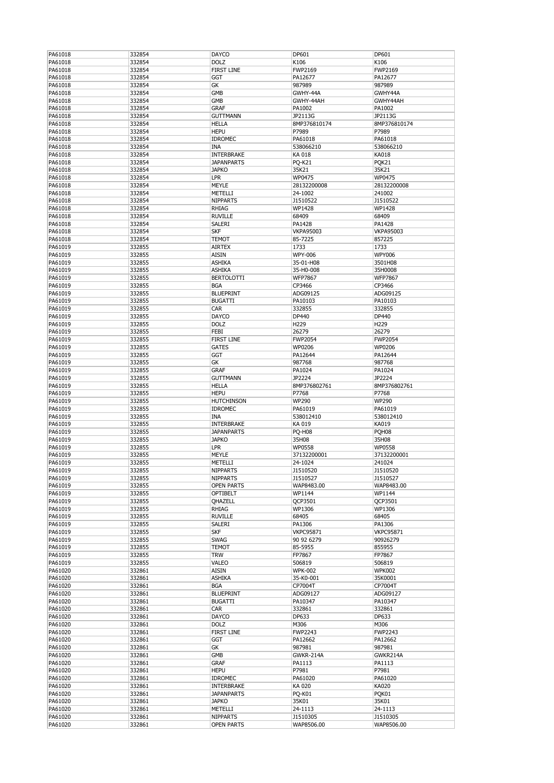| PA61018            | 332854           | DAYCO                              | DP601                    | DP601                  |
|--------------------|------------------|------------------------------------|--------------------------|------------------------|
| PA61018            | 332854           | <b>DOLZ</b>                        | K106                     | K106                   |
| PA61018            | 332854           | <b>FIRST LINE</b>                  | FWP2169                  | FWP2169                |
| PA61018            | 332854           | <b>GGT</b>                         | PA12677                  | PA12677                |
| PA61018            | 332854           | GК                                 | 987989                   | 987989                 |
| PA61018            | 332854           | GMB                                | GWHY-44A                 | GWHY44A                |
| PA61018            | 332854           | GMB                                | GWHY-44AH                | GWHY44AH               |
| PA61018            | 332854           | <b>GRAF</b>                        | PA1002                   | PA1002                 |
| PA61018            | 332854           | GUTTMANN                           | JP2113G                  | JP2113G                |
| PA61018            | 332854           | <b>HELLA</b>                       | 8MP376810174             | 8MP376810174           |
| PA61018            | 332854           | <b>HEPU</b>                        | P7989                    | P7989                  |
| PA61018            | 332854           | <b>IDROMEC</b>                     | PA61018                  | PA61018                |
| PA61018            | 332854           | <b>INA</b>                         | 538066210                | 538066210              |
| PA61018            | 332854           | INTERBRAKE                         | KA 018                   | <b>KA018</b>           |
| PA61018            | 332854           | <b>JAPANPARTS</b>                  | <b>PQ-K21</b>            | PQK21                  |
| PA61018            | 332854           | <b>JAPKO</b>                       | 35K21                    | 35K21                  |
| PA61018            | 332854           | <b>LPR</b>                         | WP0475                   | WP0475                 |
| PA61018            | 332854           | <b>MEYLE</b>                       | 28132200008              | 28132200008            |
| PA61018            | 332854           | METELLI                            | 24-1002                  | 241002                 |
| PA61018            | 332854           | <b>NIPPARTS</b>                    | J1510522                 | J1510522               |
| PA61018            | 332854           | <b>RHIAG</b>                       | WP1428                   | WP1428                 |
| PA61018            | 332854           | <b>RUVILLE</b>                     | 68409                    | 68409                  |
| PA61018            | 332854           | SALERI                             | PA1428                   | PA1428                 |
| PA61018            | 332854           | <b>SKF</b>                         | <b>VKPA95003</b>         | <b>VKPA95003</b>       |
| PA61018            | 332854           | TEMOT                              | 85-7225                  | 857225                 |
| PA61019            | 332855           | <b>AIRTEX</b>                      | 1733                     | 1733                   |
| PA61019            | 332855           | <b>AISIN</b>                       | <b>WPY-006</b>           | <b>WPY006</b>          |
| PA61019            | 332855           | <b>ASHIKA</b>                      | 35-01-H08                | 3501H08                |
|                    |                  |                                    |                          |                        |
| PA61019            | 332855           | <b>ASHIKA</b><br><b>BERTOLOTTI</b> | 35-H0-008                | 35H0008                |
| PA61019            | 332855           |                                    | <b>WFP7867</b><br>CP3466 | <b>WFP7867</b>         |
| PA61019            | 332855           | <b>BGA</b>                         |                          | CP3466                 |
| PA61019            | 332855           | <b>BLUEPRINT</b>                   | ADG09125                 | ADG09125               |
| PA61019            | 332855           | <b>BUGATTI</b>                     | PA10103                  | PA10103                |
| PA61019            | 332855           | CAR                                | 332855                   | 332855                 |
| PA61019            | 332855           | DAYCO                              | DP440                    | DP440                  |
| PA61019            | 332855           | <b>DOLZ</b>                        | H229                     | H229                   |
| PA61019            | 332855           | FEBI                               | 26279                    | 26279                  |
| PA61019            | 332855           | <b>FIRST LINE</b>                  | <b>FWP2054</b>           | <b>FWP2054</b>         |
| PA61019            | 332855           | <b>GATES</b>                       | WP0206                   | WP0206                 |
| PA61019            | 332855           | GGT                                | PA12644                  | PA12644                |
| PA61019            | 332855           | GК                                 | 987768                   | 987768                 |
| PA61019            | 332855           | <b>GRAF</b>                        | PA1024                   | PA1024                 |
| PA61019            | 332855           | GUTTMANN                           | JP2224                   | JP2224                 |
| PA61019            | 332855           | <b>HELLA</b>                       | 8MP376802761             | 8MP376802761           |
| PA61019            | 332855           | <b>HEPU</b>                        | P7768                    | P7768                  |
| PA61019            | 332855           | <b>HUTCHINSON</b>                  | <b>WP290</b>             | <b>WP290</b>           |
| PA61019            | 332855           | <b>IDROMEC</b>                     | PA61019                  | PA61019                |
| PA61019            | 332855           | INA                                | 538012410                | 538012410              |
| PA61019            | 332855           | INTERBRAKE                         | KA 019                   | KA019                  |
| PA61019            | 332855           | <b>JAPANPARTS</b>                  | <b>PQ-H08</b>            | PQH08                  |
| PA61019            | 332855           | <b>JAPKO</b>                       | 35H08                    | 35H08                  |
| PA61019            | 332855           | <b>LPR</b>                         | <b>WP0558</b>            | <b>WP0558</b>          |
|                    |                  |                                    |                          |                        |
| PA61019            | 332855           | <b>MEYLE</b>                       | 37132200001              | 37132200001            |
| PA61019            | 332855           | METELLI                            | 24-1024                  | 241024                 |
|                    |                  |                                    |                          |                        |
| PA61019<br>PA61019 | 332855<br>332855 | <b>NIPPARTS</b><br><b>NIPPARTS</b> | J1510520<br>J1510527     | J1510520<br>J1510527   |
| PA61019            | 332855           | <b>OPEN PARTS</b>                  | WAP8483.00               | WAP8483.00             |
| PA61019            | 332855           | OPTIBELT                           | WP1144                   | WP1144                 |
| PA61019            | 332855           | QHAZELL                            | QCP3501                  | QCP3501                |
| PA61019            | 332855           | RHIAG                              | WP1306                   | WP1306                 |
| PA61019            | 332855           | <b>RUVILLE</b>                     | 68405                    | 68405                  |
| PA61019            | 332855           | SALERI                             | PA1306                   | PA1306                 |
| PA61019            | 332855           | <b>SKF</b>                         | <b>VKPC95871</b>         | <b>VKPC95871</b>       |
| PA61019            | 332855           | <b>SWAG</b>                        | 90 92 6279               | 90926279               |
| PA61019            | 332855           | <b>TEMOT</b>                       | 85-5955                  | 855955                 |
|                    |                  | <b>TRW</b>                         | FP7867                   | FP7867                 |
| PA61019            | 332855           |                                    |                          |                        |
| PA61019            | 332855           | VALEO                              | 506819                   | 506819                 |
| PA61020            | 332861           | <b>AISIN</b>                       | <b>WPK-002</b>           | <b>WPK002</b>          |
| PA61020            | 332861           | ASHIKA                             | 35-K0-001                | 35K0001                |
| PA61020            | 332861           | <b>BGA</b>                         | CP7004T                  | CP7004T                |
| PA61020            | 332861           | <b>BLUEPRINT</b>                   | ADG09127                 | ADG09127               |
| PA61020            | 332861           | <b>BUGATTI</b>                     | PA10347                  | PA10347                |
| PA61020            | 332861           | CAR.                               | 332861                   | 332861                 |
| PA61020            | 332861           | DAYCO                              | DP633                    | DP633                  |
| PA61020            | 332861           | <b>DOLZ</b>                        | M306                     | M306                   |
| PA61020            | 332861           | <b>FIRST LINE</b>                  | <b>FWP2243</b>           | <b>FWP2243</b>         |
| PA61020            | 332861           | GGT                                | PA12662                  | PA12662                |
| PA61020            | 332861           | GК                                 | 987981                   | 987981                 |
| PA61020            | 332861           | GMB                                | GWKR-214A                | GWKR214A               |
| PA61020            | 332861           | <b>GRAF</b>                        | PA1113                   | PA1113                 |
| PA61020            | 332861           | <b>HEPU</b>                        | P7981                    | P7981                  |
| PA61020            | 332861           | <b>IDROMEC</b>                     | PA61020                  | PA61020                |
| PA61020            | 332861           | <b>INTERBRAKE</b>                  | KA 020                   | <b>KA020</b>           |
| PA61020            | 332861           | <b>JAPANPARTS</b>                  | <b>PQ-K01</b>            | PQK01                  |
| PA61020            | 332861           | <b>JAPKO</b>                       | 35K01                    | 35K01                  |
| PA61020            | 332861           | METELLI                            | 24-1113                  | 24-1113                |
| PA61020<br>PA61020 | 332861<br>332861 | <b>NIPPARTS</b><br>OPEN PARTS      | J1510305<br>WAP8506.00   | J1510305<br>WAP8506.00 |